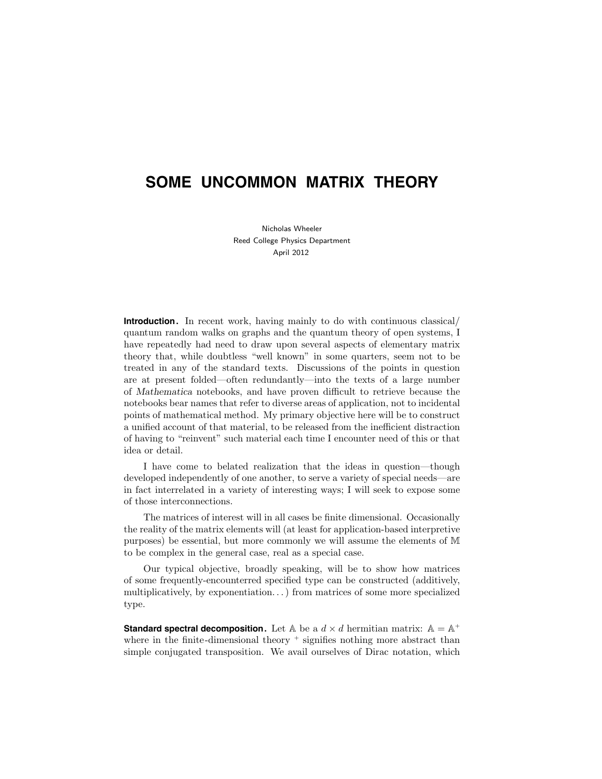# **SOME UNCOMMON MATRIX THEORY**

Nicholas Wheeler Reed College Physics Department April 2012

**Introduction.** In recent work, having mainly to do with continuous classical/ quantum random walks on graphs and the quantum theory of open systems, I have repeatedly had need to draw upon several aspects of elementary matrix theory that, while doubtless "well known" in some quarters, seem not to be treated in any of the standard texts. Discussions of the points in question are at present folded—often redundantly—into the texts of a large number of Mathematica notebooks, and have proven difficult to retrieve because the notebooks bear names that refer to diverse areas of application, not to incidental points of mathematical method. My primary objective here will be to construct a unified account of that material, to be released from the inefficient distraction of having to "reinvent" such material each time I encounter need of this or that idea or detail.

I have come to belated realization that the ideas in question—though developed independently of one another, to serve a variety of special needs—are in fact interrelated in a variety of interesting ways; I will seek to expose some of those interconnections.

The matrices of interest will in all cases be finite dimensional. Occasionally the reality of the matrix elements will (at least for application-based interpretive purposes) be essential, but more commonly we will assume the elements of M to be complex in the general case, real as a special case.

Our typical objective, broadly speaking, will be to show how matrices of some frequently-encounterred specified type can be constructed (additively, multiplicatively, by exponentiation. . .) from matrices of some more specialized type.

**Standard spectral decomposition.** Let  $A$  be a  $d \times d$  hermitian matrix:  $A = A^+$ where in the finite-dimensional theory  $+$  signifies nothing more abstract than simple conjugated transposition. We avail ourselves of Dirac notation, which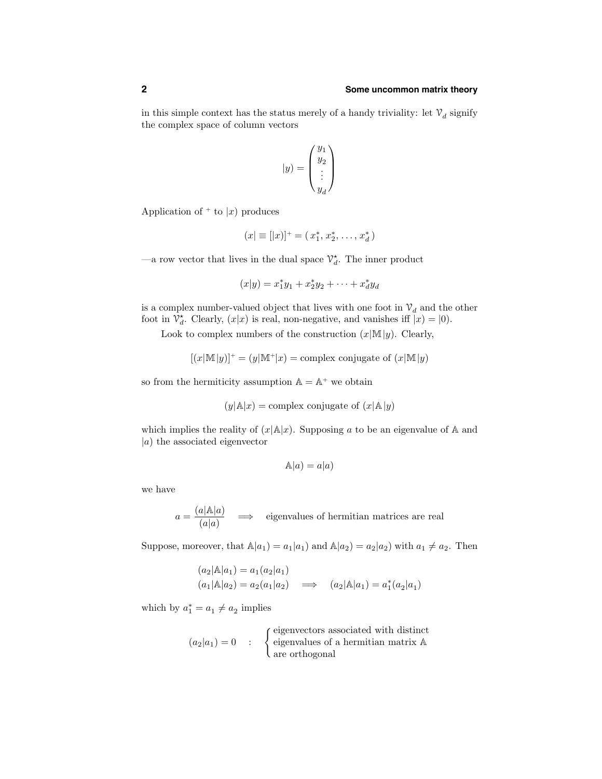in this simple context has the status merely of a handy triviality: let  $\mathcal{V}_d$  signify the complex space of column vectors

$$
|y)=\left(\begin{matrix}y_1\\y_2\\\vdots\\y_d\end{matrix}\right)
$$

Application of  $+$  to  $|x|$  produces

$$
(x| \equiv [|x|]^+ = (x_1^*, x_2^*, \ldots, x_d^*)
$$

—a row vector that lives in the dual space  $\mathcal{V}_d^*$ . The inner product

$$
(x|y) = x_1^*y_1 + x_2^*y_2 + \dots + x_d^*y_d
$$

is a complex number-valued object that lives with one foot in  $\mathcal{V}_d$  and the other foot in  $\mathcal{V}_d^*$ . Clearly,  $(x|x)$  is real, non-negative, and vanishes iff  $\bar{x}(x) = (0)$ .

Look to complex numbers of the construction  $(x|\mathbb{M}|y)$ . Clearly,

$$
[(x|\mathbb{M}|y)]^+ = (y|\mathbb{M}^+|x) = \text{complex conjugate of } (x|\mathbb{M}|y)
$$

so from the hermiticity assumption  $\mathbb{A} = \mathbb{A}^+$  we obtain

$$
(y|\mathbb{A}|x) = \text{complex conjugate of } (x|\mathbb{A}|y)
$$

which implies the reality of  $(x|\mathbb{A}|x)$ . Supposing a to be an eigenvalue of A and  $|a\rangle$  the associated eigenvector

$$
\mathbb{A}|a) = a|a)
$$

we have

$$
a = \frac{(a|\mathbb{A}|a)}{(a|a)}
$$
  $\implies$  eigenvalues of hermitian matrices are real

Suppose, moreover, that  $\mathbb{A}|a_1|=a_1|a_1|$  and  $\mathbb{A}|a_2|=a_2|a_2|$  with  $a_1 \neq a_2$ . Then

$$
(a_2|\mathbb{A}|a_1) = a_1(a_2|a_1)
$$
  
\n $(a_1|\mathbb{A}|a_2) = a_2(a_1|a_2) \implies (a_2|\mathbb{A}|a_1) = a_1^*(a_2|a_1)$ 

which by  $a_1^* = a_1 \neq a_2$  implies

$$
(a_2|a_1) = 0 : \quad \begin{cases} \text{eigenvectors associated with distinct} \\ \text{eigenvalues of a hermitian matrix A} \\ \text{are orthogonal} \end{cases}
$$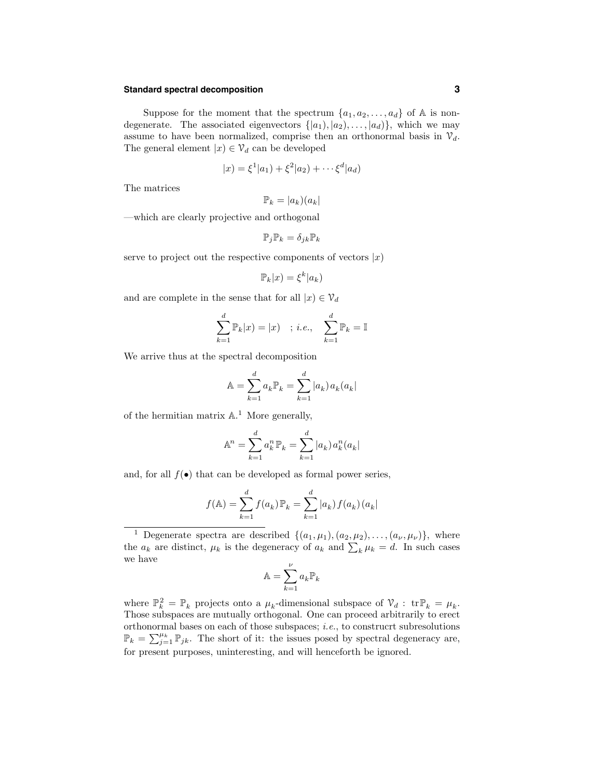# **Standard spectral decomposition 3**

Suppose for the moment that the spectrum  $\{a_1, a_2, \ldots, a_d\}$  of A is nondegenerate. The associated eigenvectors  $\{|a_1\rangle, |a_2\rangle, \ldots, |a_d\rangle\}$ , which we may assume to have been normalized, comprise then an orthonormal basis in  $\mathcal{V}_d$ . The general element  $|x\rangle \in \mathcal{V}_d$  can be developed

$$
|x) = \xi^{1}(a_{1}) + \xi^{2}(a_{2}) + \cdots + \xi^{d}(a_{d})
$$

The matrices

$$
\mathbb{P}_k=|a_k)(a_k|
$$

—which are clearly projective and orthogonal

$$
\mathbb{P}_j \mathbb{P}_k = \delta_{jk} \mathbb{P}_k
$$

serve to project out the respective components of vectors  $|x|$ 

$$
\mathbb{P}_k|x) = \xi^k|a_k)
$$

and are complete in the sense that for all  $|x\rangle \in \mathcal{V}_d$ 

$$
\sum_{k=1}^{d} \mathbb{P}_k|x) = |x\rangle \quad ; \, i.e., \quad \sum_{k=1}^{d} \mathbb{P}_k = \mathbb{I}
$$

We arrive thus at the spectral decomposition

$$
\mathbb{A} = \sum_{k=1}^{d} a_k \mathbb{P}_k = \sum_{k=1}^{d} |a_k| a_k (a_k)
$$

of the hermitian matrix  $\mathbb{A}$ .<sup>1</sup> More generally,

$$
\mathbb{A}^n = \sum_{k=1}^d a_k^n \mathbb{P}_k = \sum_{k=1}^d |a_k| a_k^n (a_k)
$$

and, for all  $f(\bullet)$  that can be developed as formal power series,

$$
f(\mathbb{A}) = \sum_{k=1}^{d} f(a_k) \mathbb{P}_k = \sum_{k=1}^{d} |a_k| f(a_k) (a_k)
$$

<sup>1</sup> Degenerate spectra are described  $\{(a_1,\mu_1),(a_2,\mu_2),\ldots,(a_{\nu},\mu_{\nu})\}$ , where the  $a_k$  are distinct,  $\mu_k$  is the degeneracy of  $a_k$  and  $\sum_k \mu_k = d$ . In such cases we have

$$
\mathbb{A} = \sum_{k=1}^{\nu} a_k \mathbb{P}_k
$$

where  $\mathbb{P}_k^2 = \mathbb{P}_k$  projects onto a  $\mu_k$ -dimensional subspace of  $\mathcal{V}_d$ :  $\text{tr}\mathbb{P}_k = \mu_k$ . Those subspaces are mutually orthogonal. One can proceed arbitrarily to erect orthonormal bases on each of those subspaces; *i.e.*, to construcrt subresolutions  $\mathbb{P}_k = \sum_{j=1}^{\mu_k} \mathbb{P}_{jk}$ . The short of it: the issues posed by spectral degeneracy are, for present purposes, uninteresting, and will henceforth be ignored.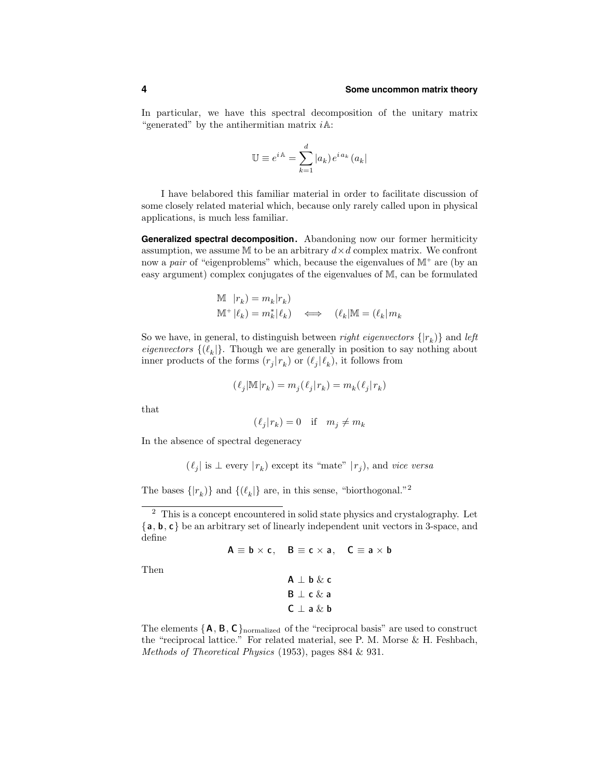In particular, we have this spectral decomposition of the unitary matrix "generated" by the antihermitian matrix  $i \mathbb{A}$ :

$$
\mathbb{U} \equiv e^{i\mathbb{A}} = \sum_{k=1}^{d} |a_k| e^{i a_k} (a_k|
$$

I have belabored this familiar material in order to facilitate discussion of some closely related material which, because only rarely called upon in physical applications, is much less familiar.

**Generalized spectral decomposition.** Abandoning now our former hermiticity assumption, we assume  $M$  to be an arbitrary  $d \times d$  complex matrix. We confront now a *pair* of "eigenproblems" which, because the eigenvalues of  $M^+$  are (by an easy argument) complex conjugates of the eigenvalues of M, can be formulated

$$
\begin{aligned}\n\mathbb{M} \quad & |r_k) = m_k |r_k \\
\mathbb{M}^+ |l_k) &= m_k^* |l_k\n\end{aligned}\n\quad \Longleftrightarrow \quad (l_k | \mathbb{M} = (l_k | m_k
$$

So we have, in general, to distinguish between *right eigenvectors*  $\{|r_k\rangle\}$  and *left eigenvectors*  $\{(\ell_k)\}\$ . Though we are generally in position to say nothing about inner products of the forms  $(r_i | r_k)$  or  $(\ell_i | \ell_k)$ , it follows from

$$
(\ell_j|\mathbb{M}|r_k)=m_j(\ell_j|r_k)=m_k(\ell_j|r_k)
$$

that

$$
(\ell_j|r_k)=0\quad\text{if}\quad m_j\neq m_k
$$

In the absence of spectral degeneracy

 $(\ell_i |$  is  $\perp$  every  $|r_k)$  except its "mate"  $|r_i$ ), and vice versa

The bases  $\{|r_k\rangle\}$  and  $\{(\ell_k|\}$  are, in this sense, "biorthogonal."<sup>2</sup>

```
A \equiv b \times c, B \equiv c \times a, C \equiv a \times b
```
Then

$$
\begin{array}{l} \textbf{A} \perp \textbf{b} \ \& \ \textbf{c} \\ \textbf{B} \perp \textbf{c} \ \& \ \textbf{a} \\ \textbf{C} \perp \textbf{a} \ \& \ \textbf{b} \end{array}
$$

The elements  $\{A, B, C\}$ <sub>normalized</sub> of the "reciprocal basis" are used to construct the "reciprocal lattice." For related material, see P. M. Morse & H. Feshbach, Methods of Theoretical Physics (1953), pages 884 & 931.

<sup>2</sup> This is a concept encountered in solid state physics and crystalography. Let {a, b, c} be an arbitrary set of linearly independent unit vectors in 3-space, and define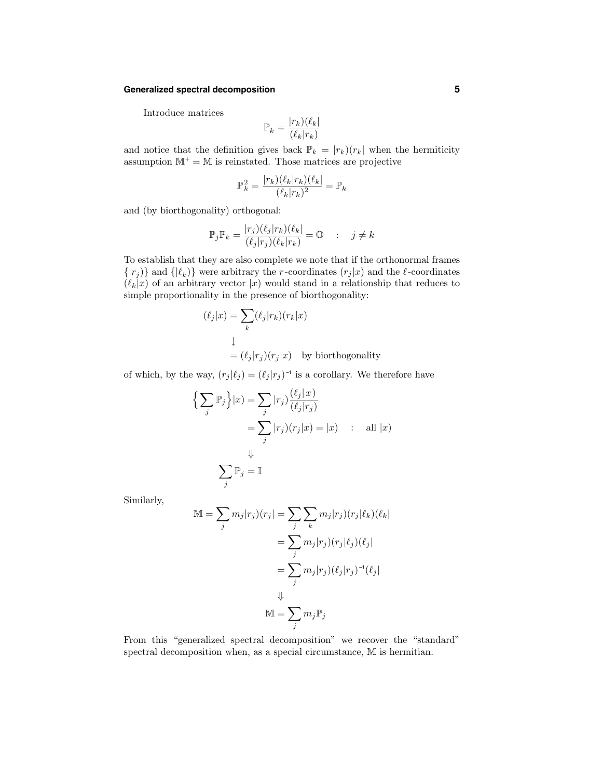# **Generalized spectral decomposition 5**

Introduce matrices

$$
\mathbb{P}_k = \frac{|r_k)(\ell_k|}{(\ell_k | r_k)}
$$

and notice that the definition gives back  $\mathbb{P}_k = |r_k|(r_k)$  when the hermiticity assumption  $\mathbb{M}^+=\mathbb{M}$  is reinstated. Those matrices are projective

$$
\mathbb{P}_k^2 = \frac{|r_k)(\ell_k|r_k)(\ell_k|}{(\ell_k|r_k)^2} = \mathbb{P}_k
$$

and (by biorthogonality) orthogonal:

$$
\mathbb{P}_j \mathbb{P}_k = \frac{|r_j)(\ell_j|r_k)(\ell_k|}{(\ell_j|r_j)(\ell_k|r_k)} = \mathbb{O} \qquad ; \quad j \neq k
$$

To establish that they are also complete we note that if the orthonormal frames  $\{|r_j\rangle\}$  and  $\{|\ell_k\rangle\}$  were arbitrary the r-coordinates  $(r_j|x)$  and the  $\ell$ -coordinates  $(\ell_k|x)$  of an arbitrary vector  $|x)$  would stand in a relationship that reduces to simple proportionality in the presence of biorthogonality:

$$
(\ell_j|x) = \sum_k (\ell_j|r_k)(r_k|x)
$$
  

$$
\downarrow
$$
  

$$
= (\ell_j|r_j)(r_j|x) \text{ by biorthogonality}
$$

of which, by the way,  $(r_j | \ell_j) = (\ell_j | r_j)^{-1}$  is a corollary. We therefore have

j

$$
\left\{\sum_{j} \mathbb{P}_{j}\right\} | x) = \sum_{j} | r_{j} \rangle \frac{(\ell_{j} | x)}{(\ell_{j} | r_{j})}
$$

$$
= \sum_{j} | r_{j} \rangle (r_{j} | x) = | x \rangle \quad : \quad \text{all } | x \rangle
$$

$$
\downarrow
$$

$$
\sum \mathbb{P}_{j} = \mathbb{I}
$$

Similarly,

$$
\mathbb{M} = \sum_{j} m_{j} |r_{j})(r_{j}| = \sum_{j} \sum_{k} m_{j} |r_{j})(r_{j}|\ell_{k})(\ell_{k}|
$$

$$
= \sum_{j} m_{j} |r_{j})(r_{j}|\ell_{j})(\ell_{j}|
$$

$$
= \sum_{j} m_{j} |r_{j})(\ell_{j}|r_{j})^{-1}(\ell_{j}|
$$

$$
\Downarrow
$$

$$
\mathbb{M} = \sum_{j} m_{j} \mathbb{P}_{j}
$$

From this "generalized spectral decomposition" we recover the "standard" spectral decomposition when, as a special circumstance, M is hermitian.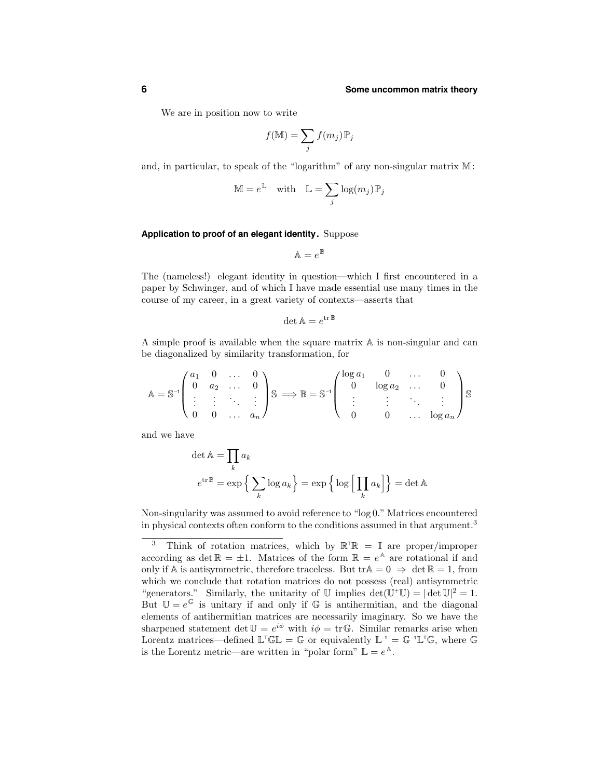We are in position now to write

$$
f(\mathbb{M}) = \sum_j f(m_j) \mathbb{P}_j
$$

and, in particular, to speak of the "logarithm" of any non-singular matrix M:

$$
\mathbb{M} = e^{\mathbb{L}} \quad \text{with} \quad \mathbb{L} = \sum_j \log(m_j) \, \mathbb{P}_j
$$

#### **Application to proof of an elegant identity.** Suppose

 $\mathbb{A}=e^{\mathbb{B}}$ 

The (nameless!) elegant identity in question—which I first encountered in a paper by Schwinger, and of which I have made essential use many times in the course of my career, in a great variety of contexts—asserts that

$$
\det \mathbb{A} = e^{\operatorname{tr} \mathbb{B}}
$$

A simple proof is available when the square matrix A is non-singular and can be diagonalized by similarity transformation, for

$$
\mathbb{A} = \mathbb{S}^{-1} \begin{pmatrix} a_1 & 0 & \dots & 0 \\ 0 & a_2 & \dots & 0 \\ \vdots & \vdots & \ddots & \vdots \\ 0 & 0 & \dots & a_n \end{pmatrix} \mathbb{S} \implies \mathbb{B} = \mathbb{S}^{-1} \begin{pmatrix} \log a_1 & 0 & \dots & 0 \\ 0 & \log a_2 & \dots & 0 \\ \vdots & \vdots & \ddots & \vdots \\ 0 & 0 & \dots & \log a_n \end{pmatrix} \mathbb{S}
$$

and we have

$$
\det \mathbb{A} = \prod_k a_k
$$
  

$$
e^{\text{tr}\mathbb{B}} = \exp\left\{\sum_k \log a_k\right\} = \exp\left\{\log\left[\prod_k a_k\right]\right\} = \det \mathbb{A}
$$

Non-singularity was assumed to avoid reference to "log 0." Matrices encountered in physical contexts often conform to the conditions assumed in that argument.<sup>3</sup>

<sup>&</sup>lt;sup>3</sup> Think of rotation matrices, which by  $\mathbb{R}^T \mathbb{R} = \mathbb{I}$  are proper/improper according as det  $\mathbb{R} = \pm 1$ . Matrices of the form  $\mathbb{R} = e^{\mathbb{A}}$  are rotational if and only if A is antisymmetric, therefore traceless. But tr $A = 0 \Rightarrow \det \mathbb{R} = 1$ , from which we conclude that rotation matrices do not possess (real) antisymmetric "generators." Similarly, the unitarity of U implies  $\det(\mathbb{U}^+\mathbb{U}) = |\det \mathbb{U}|^2 = 1$ . But  $\mathbb{U} = e^{\mathbb{G}}$  is unitary if and only if  $\mathbb{G}$  is antihermitian, and the diagonal elements of antihermitian matrices are necessarily imaginary. So we have the sharpened statement det  $\mathbb{U} = e^{i\phi}$  with  $i\phi = \text{tr}\mathbb{G}$ . Similar remarks arise when Lorentz matrices—defined  $\mathbb{L}^{\mathsf{T}}\mathbb{GL} = \mathbb{G}$  or equivalently  $\mathbb{L}^{\mathsf{-1}} = \mathbb{G}^{\mathsf{-1}}\mathbb{L}^{\mathsf{T}}\mathbb{G}$ , where  $\mathbb{G}$ is the Lorentz metric—are written in "polar form"  $\mathbb{L} = e^{\mathbb{A}}$ .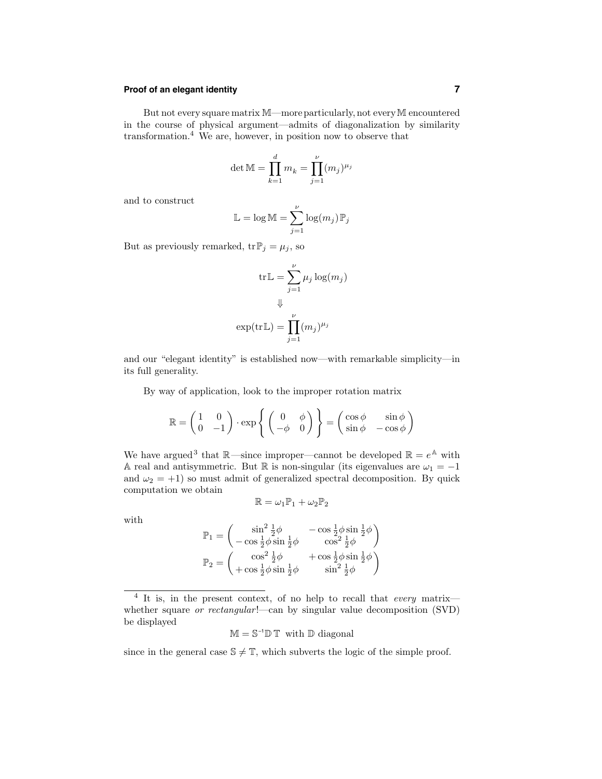# **Proof of an elegant identity 7**

But not every square matrix M—more particularly, not every M encountered in the course of physical argument—admits of diagonalization by similarity transformation.<sup>4</sup> We are, however, in position now to observe that

det M = 
$$
\prod_{k=1}^{d} m_k = \prod_{j=1}^{\nu} (m_j)^{\mu_j}
$$

and to construct

$$
\mathbb{L} = \log \mathbb{M} = \sum_{j=1}^{\nu} \log(m_j) \mathbb{P}_j
$$

But as previously remarked,  $\text{tr}\, \mathbb{P}_j = \mu_j$ , so

$$
\operatorname{tr}\mathbb{L} = \sum_{j=1}^{\nu} \mu_j \log(m_j)
$$

$$
\Downarrow
$$

$$
\operatorname{exp}(\operatorname{tr}\mathbb{L}) = \prod_{j=1}^{\nu} (m_j)^{\mu_j}
$$

and our "elegant identity" is established now—with remarkable simplicity—in its full generality.

By way of application, look to the improper rotation matrix

$$
\mathbb{R} = \begin{pmatrix} 1 & 0 \\ 0 & -1 \end{pmatrix} \cdot \exp\left\{ \begin{pmatrix} 0 & \phi \\ -\phi & 0 \end{pmatrix} \right\} = \begin{pmatrix} \cos \phi & \sin \phi \\ \sin \phi & -\cos \phi \end{pmatrix}
$$

We have argued<sup>3</sup> that  $\mathbb{R}$ —since improper—cannot be developed  $\mathbb{R} = e^{\mathbb{A}}$  with A real and antisymmetric. But R is non-singular (its eigenvalues are  $\omega_1 = -1$ ) and  $\omega_2 = +1$ ) so must admit of generalized spectral decomposition. By quick computation we obtain

$$
\mathbb{R} = \omega_1 \mathbb{P}_1 + \omega_2 \mathbb{P}_2
$$

with

$$
\mathbb{P}_1 = \begin{pmatrix} \sin^2 \frac{1}{2}\phi & -\cos \frac{1}{2}\phi \sin \frac{1}{2}\phi \\ -\cos \frac{1}{2}\phi \sin \frac{1}{2}\phi & \cos^2 \frac{1}{2}\phi \end{pmatrix}
$$

$$
\mathbb{P}_2 = \begin{pmatrix} \cos^2 \frac{1}{2}\phi & +\cos \frac{1}{2}\phi \sin \frac{1}{2}\phi \\ +\cos \frac{1}{2}\phi \sin \frac{1}{2}\phi & \sin^2 \frac{1}{2}\phi \end{pmatrix}
$$

 $M = S^{-1}D T$  with D diagonal

since in the general case  $\mathbb{S} \neq \mathbb{T}$ , which subverts the logic of the simple proof.

 $4$  It is, in the present context, of no help to recall that every matrix whether square or rectangular!—can by singular value decomposition (SVD) be displayed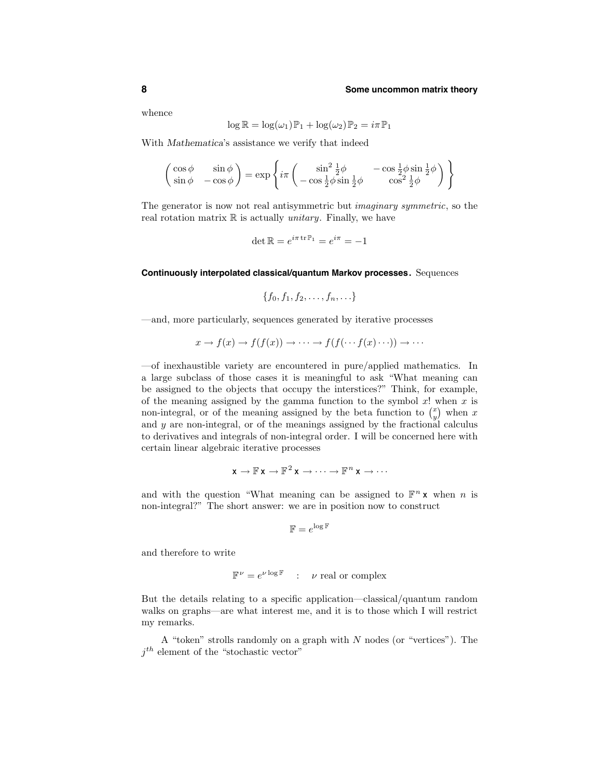whence

$$
\log \mathbb{R} = \log(\omega_1)\mathbb{P}_1 + \log(\omega_2)\mathbb{P}_2 = i\pi\mathbb{P}_1
$$

With Mathematica's assistance we verify that indeed

$$
\begin{pmatrix}\n\cos\phi & \sin\phi \\
\sin\phi & -\cos\phi\n\end{pmatrix} = \exp\left\{i\pi \begin{pmatrix}\n\sin^2\frac{1}{2}\phi & -\cos\frac{1}{2}\phi\sin\frac{1}{2}\phi \\
-\cos\frac{1}{2}\phi\sin\frac{1}{2}\phi & \cos^2\frac{1}{2}\phi\n\end{pmatrix}\right\}
$$

The generator is now not real antisymmetric but imaginary symmetric, so the real rotation matrix  $\mathbb R$  is actually *unitary*. Finally, we have

$$
\det \mathbb{R} = e^{i\pi \operatorname{tr} \mathbb{P}_1} = e^{i\pi} = -1
$$

#### **Continuously interpolated classical/quantum Markov processes.** Sequences

$$
\{f_0,f_1,f_2,\ldots,f_n,\ldots\}
$$

—and, more particularly, sequences generated by iterative processes

$$
x \to f(x) \to f(f(x)) \to \cdots \to f(f(\cdots f(x) \cdots)) \to \cdots
$$

—of inexhaustible variety are encountered in pure/applied mathematics. In a large subclass of those cases it is meaningful to ask "What meaning can be assigned to the objects that occupy the interstices?" Think, for example, of the meaning assigned by the gamma function to the symbol  $x!$  when  $x$  is non-integral, or of the meaning assigned by the beta function to  $\binom{x}{y}$  when x and y are non-integral, or of the meanings assigned by the fractional calculus to derivatives and integrals of non-integral order. I will be concerned here with certain linear algebraic iterative processes

$$
\mathbf{x} \to \mathbb{F} \mathbf{x} \to \mathbb{F}^2 \mathbf{x} \to \cdots \to \mathbb{F}^n \mathbf{x} \to \cdots
$$

and with the question "What meaning can be assigned to  $\mathbb{F}^n \times$  when n is non-integral?" The short answer: we are in position now to construct

$$
\mathbb{F}=e^{\log \mathbb{F}}
$$

and therefore to write

$$
\mathbb{F}^{\nu} = e^{\nu \log \mathbb{F}} \quad : \quad \nu \text{ real or complex}
$$

But the details relating to a specific application—classical/quantum random walks on graphs—are what interest me, and it is to those which I will restrict my remarks.

A "token" strolls randomly on a graph with N nodes (or "vertices"). The  $j<sup>th</sup>$  element of the "stochastic vector"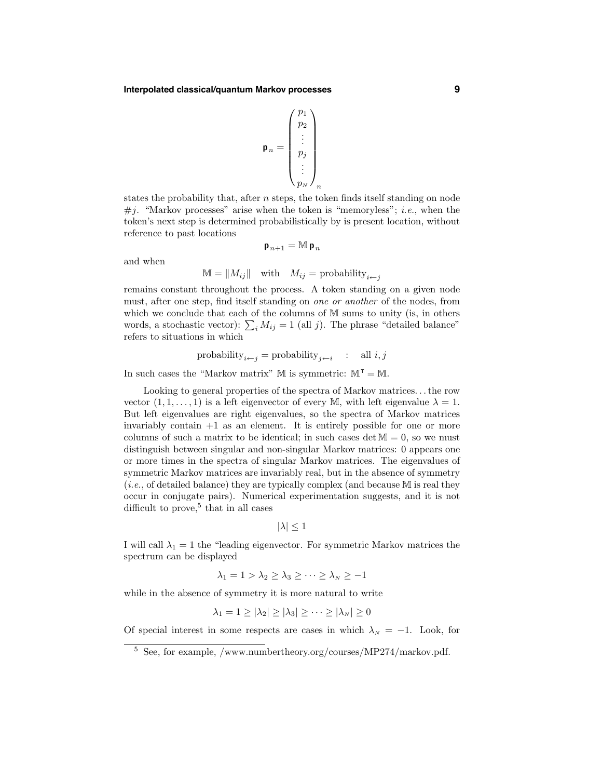$$
\mathbf{p}_n = \begin{pmatrix} p_1 \\ p_2 \\ \vdots \\ p_j \\ \vdots \\ p_N \end{pmatrix}_n
$$

states the probability that, after  $n$  steps, the token finds itself standing on node  $\#j$ . "Markov processes" arise when the token is "memoryless"; *i.e.*, when the token's next step is determined probabilistically by is present location, without reference to past locations

$$
\mathbf{p}_{\,n+1} = \mathbb{M} \, \mathbf{p}_{\,n}
$$

and when

$$
\mathbb{M} = \|M_{ij}\| \quad \text{with} \quad M_{ij} = \text{probability}_{i \leftarrow j}
$$

remains constant throughout the process. A token standing on a given node must, after one step, find itself standing on one or another of the nodes, from which we conclude that each of the columns of M sums to unity (is, in others words, a stochastic vector):  $\sum_i M_{ij} = 1$  (all j). The phrase "detailed balance" refers to situations in which

$$
\text{probability}_{i\leftarrow j} = \text{probability}_{j\leftarrow i} \quad : \quad \text{all } i,j
$$

In such cases the "Markov matrix" M is symmetric:  $M^{\mathsf{T}} = M$ .

Looking to general properties of the spectra of Markov matrices. . .the row vector  $(1, 1, \ldots, 1)$  is a left eigenvector of every M, with left eigenvalue  $\lambda = 1$ . But left eigenvalues are right eigenvalues, so the spectra of Markov matrices invariably contain +1 as an element. It is entirely possible for one or more columns of such a matrix to be identical; in such cases det  $M = 0$ , so we must distinguish between singular and non-singular Markov matrices: 0 appears one or more times in the spectra of singular Markov matrices. The eigenvalues of symmetric Markov matrices are invariably real, but in the absence of symmetry  $(i.e., of detailed balance)$  they are typically complex (and because M is real they occur in conjugate pairs). Numerical experimentation suggests, and it is not difficult to prove, <sup>5</sup> that in all cases

$$
|\lambda| \leq 1
$$

I will call  $\lambda_1 = 1$  the "leading eigenvector. For symmetric Markov matrices the spectrum can be displayed

$$
\lambda_1 = 1 > \lambda_2 \ge \lambda_3 \ge \cdots \ge \lambda_N \ge -1
$$

while in the absence of symmetry it is more natural to write

$$
\lambda_1 = 1 \geq |\lambda_2| \geq |\lambda_3| \geq \cdots \geq |\lambda_N| \geq 0
$$

Of special interest in some respects are cases in which  $\lambda_N = -1$ . Look, for

 $^5\,$  See, for example, /www.numbertheory.org/courses/MP274/markov.pdf.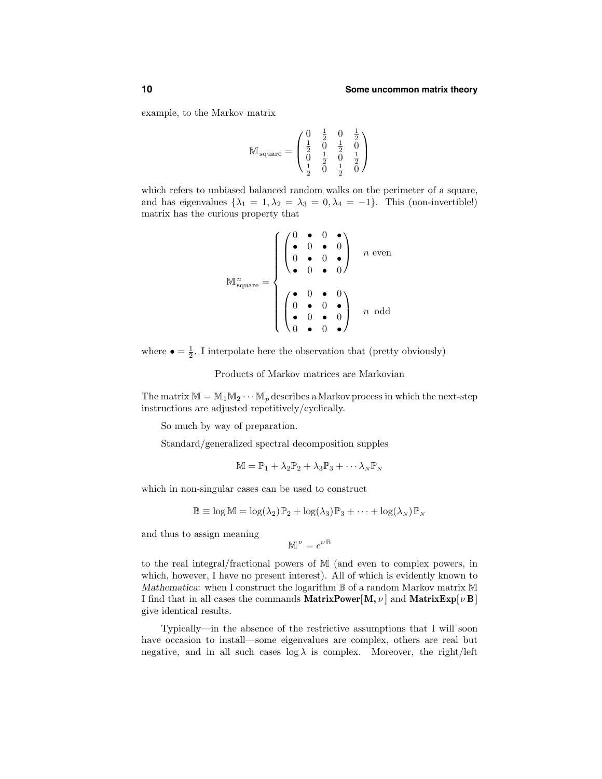example, to the Markov matrix

$$
\mathbb{M}_{\text{square}} = \begin{pmatrix} 0 & \frac{1}{2} & 0 & \frac{1}{2} \\ \frac{1}{2} & 0 & \frac{1}{2} & 0 \\ 0 & \frac{1}{2} & 0 & \frac{1}{2} \\ \frac{1}{2} & 0 & \frac{1}{2} & 0 \end{pmatrix}
$$

which refers to unbiased balanced random walks on the perimeter of a square, and has eigenvalues  $\{\lambda_1 = 1, \lambda_2 = \lambda_3 = 0, \lambda_4 = -1\}$ . This (non-invertible!) matrix has the curious property that

$$
\mathbb{M}^{n}_{\text{square}} = \begin{cases} \begin{pmatrix} 0 & \bullet & 0 & \bullet \\ \bullet & 0 & \bullet & 0 \\ 0 & \bullet & 0 & \bullet \\ \bullet & 0 & \bullet & 0 \end{pmatrix} & n \text{ even} \\ \begin{pmatrix} \bullet & 0 & \bullet & 0 \\ 0 & \bullet & 0 & \bullet \\ \bullet & 0 & \bullet & 0 \\ 0 & \bullet & 0 & \bullet \end{pmatrix} & n \text{ odd} \end{cases}
$$

where  $\bullet = \frac{1}{2}$ . I interpolate here the observation that (pretty obviously)

Products of Markov matrices are Markovian

The matrix  $M = M_1 M_2 \cdots M_p$  describes a Markov process in which the next-step instructions are adjusted repetitively/cyclically.

So much by way of preparation.

Standard/generalized spectral decomposition supples

$$
\mathbb{M} = \mathbb{P}_1 + \lambda_2 \mathbb{P}_2 + \lambda_3 \mathbb{P}_3 + \cdots \lambda_N \mathbb{P}_N
$$

which in non-singular cases can be used to construct

$$
\mathbb{B} \equiv \log \mathbb{M} = \log(\lambda_2)\mathbb{P}_2 + \log(\lambda_3)\mathbb{P}_3 + \cdots + \log(\lambda_N)\mathbb{P}_N
$$

and thus to assign meaning

$$
\mathbb{M}^{\,\nu} = e^{\nu\,\mathbb{B}}
$$

to the real integral/fractional powers of M (and even to complex powers, in which, however, I have no present interest). All of which is evidently known to Mathematica: when I construct the logarithm  $\mathbb B$  of a random Markov matrix M I find that in all cases the commands MatrixPower[M,  $\nu$ ] and MatrixExp[ $\nu$ B] give identical results.

Typically—in the absence of the restrictive assumptions that I will soon have occasion to install—some eigenvalues are complex, others are real but negative, and in all such cases  $log \lambda$  is complex. Moreover, the right/left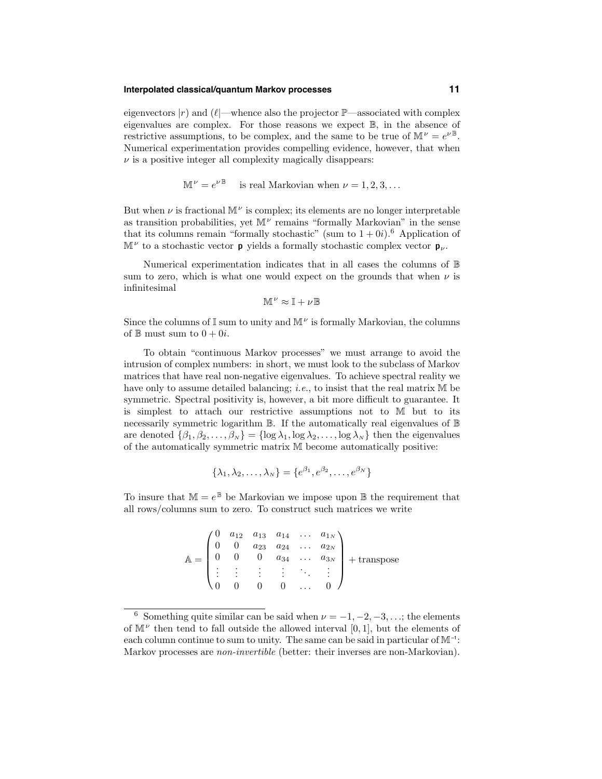#### **Interpolated classical/quantum Markov processes 11**

eigenvectors  $|r\rangle$  and  $(\ell]$ —whence also the projector  $\mathbb{P}$ —associated with complex eigenvalues are complex. For those reasons we expect B, in the absence of restrictive assumptions, to be complex, and the same to be true of  $\mathbb{M}^{\nu} = e^{\nu \mathbb{B}}$ . Numerical experimentation provides compelling evidence, however, that when  $\nu$  is a positive integer all complexity magically disappears:

$$
\mathbb{M}^{\nu} = e^{\nu \mathbb{B}} \quad \text{ is real Markovian when } \nu = 1, 2, 3, \dots
$$

But when  $\nu$  is fractional  $\mathbb{M}^{\nu}$  is complex; its elements are no longer interpretable as transition probabilities, yet  $\mathbb{M}^{\nu}$  remains "formally Markovian" in the sense that its columns remain "formally stochastic" (sum to  $1+0i$ ).<sup>6</sup> Application of  $\mathbb{M}^{\nu}$  to a stochastic vector **p** yields a formally stochastic complex vector **p**<sub> $\nu$ </sub>.

Numerical experimentation indicates that in all cases the columns of B sum to zero, which is what one would expect on the grounds that when  $\nu$  is infinitesimal

$$
\mathbb{M}^{\nu} \approx \mathbb{I} + \nu \mathbb{B}
$$

Since the columns of  $\mathbb I$  sum to unity and  $\mathbb M^{\nu}$  is formally Markovian, the columns of  $\mathbb B$  must sum to  $0 + 0i$ .

To obtain "continuous Markov processes" we must arrange to avoid the intrusion of complex numbers: in short, we must look to the subclass of Markov matrices that have real non-negative eigenvalues. To achieve spectral reality we have only to assume detailed balancing; *i.e.*, to insist that the real matrix M be symmetric. Spectral positivity is, however, a bit more difficult to guarantee. It is simplest to attach our restrictive assumptions not to M but to its necessarily symmetric logarithm  $\mathbb B$ . If the automatically real eigenvalues of  $\mathbb B$ are denoted  $\{\beta_1, \beta_2, \ldots, \beta_N\} = \{\log \lambda_1, \log \lambda_2, \ldots, \log \lambda_N\}$  then the eigenvalues of the automatically symmetric matrix M become automatically positive:

$$
\{\lambda_1, \lambda_2, \ldots, \lambda_N\} = \{e^{\beta_1}, e^{\beta_2}, \ldots, e^{\beta_N}\}
$$

To insure that  $\mathbb{M} = e^{\mathbb{B}}$  be Markovian we impose upon  $\mathbb{B}$  the requirement that all rows/columns sum to zero. To construct such matrices we write

| $\mathbb{A} = \begin{pmatrix} 0 \\ 0 \end{pmatrix}$ |  |        |  | $\left(\begin{matrix} 0 & a_{12} & a_{13} & a_{14} & \ldots & a_{1N} \\ 0 & 0 & a_{23} & a_{24} & \ldots & a_{2N} \\ 0 & 0 & 0 & a_{34} & \ldots & a_{3N} \\ \end{matrix}\right) + \text{transpose}$ |
|-----------------------------------------------------|--|--------|--|------------------------------------------------------------------------------------------------------------------------------------------------------------------------------------------------------|
|                                                     |  | 主主主主义主 |  |                                                                                                                                                                                                      |
|                                                     |  |        |  |                                                                                                                                                                                                      |

<sup>&</sup>lt;sup>6</sup> Something quite similar can be said when  $\nu = -1, -2, -3, \ldots$ ; the elements of  $\mathbb{M}^{\nu}$  then tend to fall outside the allowed interval [0, 1], but the elements of each column continue to sum to unity. The same can be said in particular of  $\mathbb{M}^{-1}$ : Markov processes are *non-invertible* (better: their inverses are non-Markovian).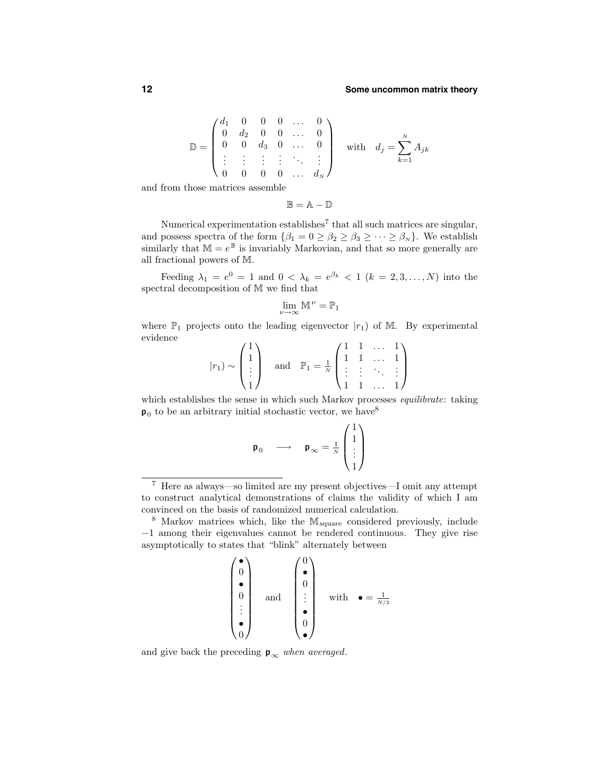$$
\mathbb{D} = \begin{pmatrix} d_1 & 0 & 0 & 0 & \dots & 0 \\ 0 & d_2 & 0 & 0 & \dots & 0 \\ 0 & 0 & d_3 & 0 & \dots & 0 \\ \vdots & \vdots & \vdots & \vdots & \ddots & \vdots \\ 0 & 0 & 0 & 0 & \dots & d_N \end{pmatrix} \text{ with } d_j = \sum_{k=1}^N A_{jk}
$$

and from those matrices assemble

 $\mathbb{B} = \mathbb{A} - \mathbb{D}$ 

Numerical experimentation establishes<sup>7</sup> that all such matrices are singular, and possess spectra of the form  $\{\beta_1 = 0 \ge \beta_2 \ge \beta_3 \ge \cdots \ge \beta_N\}$ . We establish similarly that  $\mathbb{M} = e^{\mathbb{B}}$  is invariably Markovian, and that so more generally are all fractional powers of M.

Feeding  $\lambda_1 = e^0 = 1$  and  $0 < \lambda_k = e^{\beta_k} < 1$   $(k = 2, 3, ..., N)$  into the spectral decomposition of M we find that

$$
\lim_{\nu\to\infty}\mathbb{M}^{\,\nu}=\mathbb{P}_1
$$

where  $\mathbb{P}_1$  projects onto the leading eigenvector  $|r_1|$  of M. By experimental evidence

$$
|r_1\rangle \sim \begin{pmatrix} 1 \\ 1 \\ \vdots \\ 1 \end{pmatrix}
$$
 and  $\mathbb{P}_1 = \frac{1}{N} \begin{pmatrix} 1 & 1 & \dots & 1 \\ 1 & 1 & \dots & 1 \\ \vdots & \vdots & \ddots & \vdots \\ 1 & 1 & \dots & 1 \end{pmatrix}$ 

which establishes the sense in which such Markov processes *equilibrate*: taking  $p_0$  to be an arbitrary initial stochastic vector, we have<sup>8</sup>

$$
\mathbf{p}_0 \quad \longrightarrow \quad \mathbf{p}_{\infty} = \frac{1}{N} \begin{pmatrix} 1 \\ 1 \\ \vdots \\ 1 \end{pmatrix}
$$

$$
\begin{pmatrix}\n\bullet \\
0 \\
\bullet \\
\vdots \\
\bullet \\
0\n\end{pmatrix}\n\text{ and }\n\begin{pmatrix}\n0 \\
\bullet \\
0 \\
\vdots \\
0 \\
0\n\end{pmatrix}\n\text{ with }\bullet = \frac{1}{N/2}
$$

and give back the preceding  $p_{\infty}$  when averaged.

<sup>7</sup> Here as always—so limited are my present objectives—I omit any attempt to construct analytical demonstrations of claims the validity of which I am convinced on the basis of randomized numerical calculation.

<sup>8</sup> Markov matrices which, like the Msquare considered previously, include −1 among their eigenvalues cannot be rendered continuous. They give rise asymptotically to states that "blink" alternately between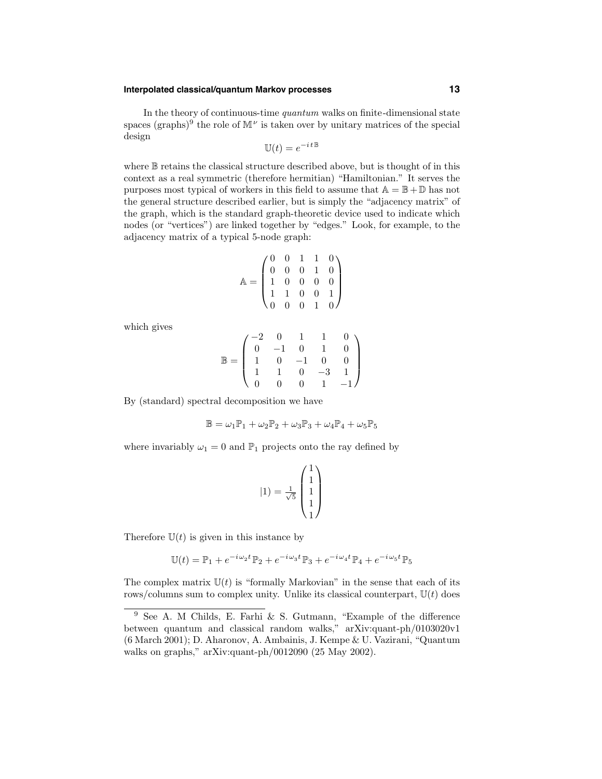# **Interpolated classical/quantum Markov processes 13**

In the theory of continuous-time quantum walks on finite-dimensional state spaces (graphs)<sup>9</sup> the role of  $\mathbb{M}^{\nu}$  is taken over by unitary matrices of the special design

$$
\mathbb{U}(t) = e^{-i t \mathbb{B}}
$$

where B retains the classical structure described above, but is thought of in this context as a real symmetric (therefore hermitian) "Hamiltonian." It serves the purposes most typical of workers in this field to assume that  $A = \mathbb{B} + \mathbb{D}$  has not the general structure described earlier, but is simply the "adjacency matrix" of the graph, which is the standard graph-theoretic device used to indicate which nodes (or "vertices") are linked together by "edges." Look, for example, to the adjacency matrix of a typical 5-node graph:

$$
\mathbb{A} = \begin{pmatrix} 0 & 0 & 1 & 1 & 0 \\ 0 & 0 & 0 & 1 & 0 \\ 1 & 0 & 0 & 0 & 0 \\ 1 & 1 & 0 & 0 & 1 \\ 0 & 0 & 0 & 1 & 0 \end{pmatrix}
$$

which gives

$$
\mathbb{B} = \begin{pmatrix}\n-2 & 0 & 1 & 1 & 0 \\
0 & -1 & 0 & 1 & 0 \\
1 & 0 & -1 & 0 & 0 \\
1 & 1 & 0 & -3 & 1 \\
0 & 0 & 0 & 1 & -1\n\end{pmatrix}
$$

By (standard) spectral decomposition we have

$$
\mathbb{B} = \omega_1 \mathbb{P}_1 + \omega_2 \mathbb{P}_2 + \omega_3 \mathbb{P}_3 + \omega_4 \mathbb{P}_4 + \omega_5 \mathbb{P}_5
$$

where invariably  $\omega_1 = 0$  and  $\mathbb{P}_1$  projects onto the ray defined by

$$
|1) = \frac{1}{\sqrt{5}} \begin{pmatrix} 1 \\ 1 \\ 1 \\ 1 \\ 1 \end{pmatrix}
$$

Therefore  $U(t)$  is given in this instance by

$$
\mathbb{U}(t) = \mathbb{P}_1 + e^{-i\omega_2 t} \mathbb{P}_2 + e^{-i\omega_3 t} \mathbb{P}_3 + e^{-i\omega_4 t} \mathbb{P}_4 + e^{-i\omega_5 t} \mathbb{P}_5
$$

The complex matrix  $U(t)$  is "formally Markovian" in the sense that each of its rows/columns sum to complex unity. Unlike its classical counterpart,  $U(t)$  does

<sup>9</sup> See A. M Childs, E. Farhi & S. Gutmann, "Example of the difference between quantum and classical random walks," arXiv:quant-ph/0103020v1 (6 March 2001); D. Aharonov, A. Ambainis, J. Kempe & U. Vazirani, "Quantum walks on graphs," arXiv:quant-ph/0012090 (25 May 2002).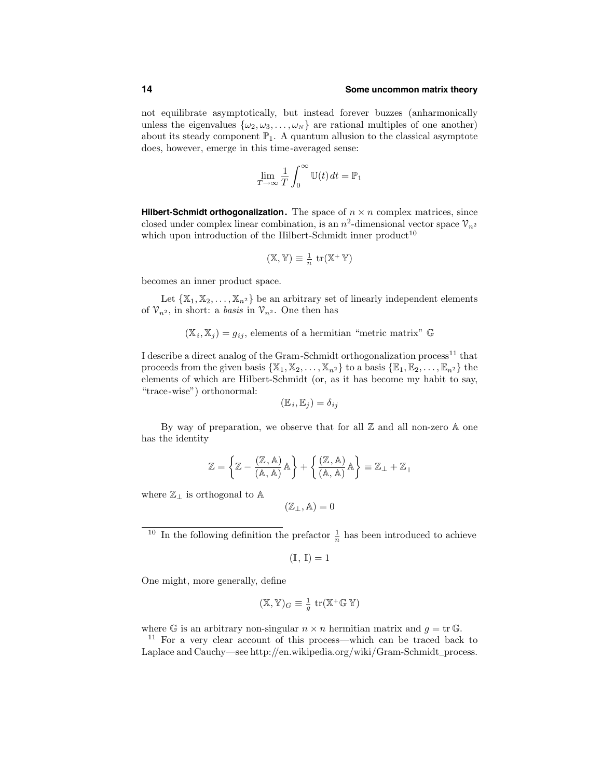not equilibrate asymptotically, but instead forever buzzes (anharmonically unless the eigenvalues  $\{\omega_2, \omega_3, \ldots, \omega_N\}$  are rational multiples of one another) about its steady component  $\mathbb{P}_1$ . A quantum allusion to the classical asymptote does, however, emerge in this time-averaged sense:

$$
\lim_{T \to \infty} \frac{1}{T} \int_0^\infty \mathbb{U}(t) \, dt = \mathbb{P}_1
$$

**Hilbert-Schmidt orthogonalization.** The space of  $n \times n$  complex matrices, since closed under complex linear combination, is an  $n^2$ -dimensional vector space  $\mathcal{V}_{n^2}$ which upon introduction of the Hilbert-Schmidt inner  $product^{10}$ 

$$
(\mathbb{X}, \mathbb{Y}) \equiv \frac{1}{n} \operatorname{tr}(\mathbb{X}^+ \mathbb{Y})
$$

becomes an inner product space.

Let  $\{X_1, X_2, \ldots, X_{n^2}\}$  be an arbitrary set of linearly independent elements of  $\mathcal{V}_{n^2}$ , in short: a *basis* in  $\mathcal{V}_{n^2}$ . One then has

$$
(X_i, X_j) = g_{ij}
$$
, elements of a hermitian "metric matrix" G

I describe a direct analog of the Gram-Schmidt orthogonalization process<sup>11</sup> that proceeds from the given basis  $\{X_1, X_2, \ldots, X_{n^2}\}\$  to a basis  $\{\mathbb{E}_1, \mathbb{E}_2, \ldots, \mathbb{E}_{n^2}\}\$  the elements of which are Hilbert-Schmidt (or, as it has become my habit to say, "trace-wise") orthonormal:

$$
(\mathbb{E}_i, \mathbb{E}_j) = \delta_{ij}
$$

By way of preparation, we observe that for all  $\mathbb Z$  and all non-zero  $\mathbb A$  one has the identity

$$
\mathbb{Z}=\left\{\mathbb{Z}-\frac{(\mathbb{Z},\mathbb{A})}{(\mathbb{A},\mathbb{A})}\mathbb{A}\right\}+\left\{\frac{(\mathbb{Z},\mathbb{A})}{(\mathbb{A},\mathbb{A})}\mathbb{A}\right\}\equiv\mathbb{Z}_{\perp}+\mathbb{Z}_{\parallel}
$$

where  $\mathbb{Z}_\perp$  is orthogonal to A

$$
(\mathbb{Z}_\perp,\mathbb{A})=0
$$

<sup>10</sup> In the following definition the prefactor  $\frac{1}{n}$  has been introduced to achieve

$$
(\mathbb{I},\,\mathbb{I})=1
$$

One might, more generally, define

$$
(\mathbb{X}, \mathbb{Y})_G \equiv \frac{1}{g} \operatorname{tr}(\mathbb{X}^+ \mathbb{G} \mathbb{Y})
$$

where G is an arbitrary non-singular  $n \times n$  hermitian matrix and  $g = \text{tr } \mathbb{G}$ .<br><sup>11</sup> For a very clear account of this process—which can be traced back to

Laplace and Cauchy—see http://en.wikipedia.org/wiki/Gram-Schmidt–process.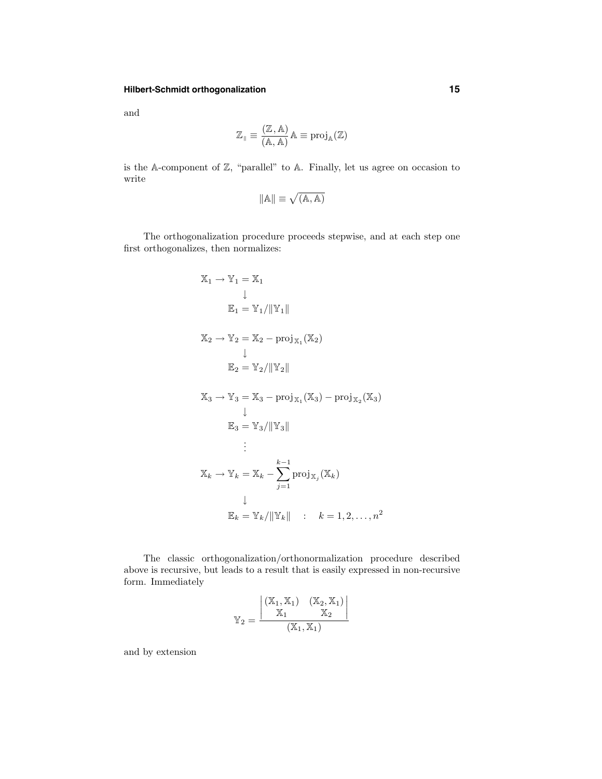# **Hilbert-Schmidt orthogonalization 15**

and

$$
\mathbb{Z}_\parallel \equiv \frac{(\mathbb{Z}, \mathbb{A})}{(\mathbb{A}, \mathbb{A})} \mathbb{A} \equiv \mathrm{proj}_\mathbb{A}(\mathbb{Z})
$$

is the A-component of Z, "parallel" to A. Finally, let us agree on occasion to write

$$
\|{\mathbb A}\| \equiv \sqrt{({\mathbb A},{\mathbb A})}
$$

The orthogonalization procedure proceeds stepwise, and at each step one first orthogonalizes, then normalizes:

$$
X_1 \rightarrow Y_1 = X_1
$$
  
\n
$$
\downarrow
$$
  
\n
$$
E_1 = Y_1 / \|Y_1\|
$$
  
\n
$$
X_2 \rightarrow Y_2 = X_2 - \text{proj}_{X_1}(X_2)
$$
  
\n
$$
\downarrow
$$
  
\n
$$
E_2 = Y_2 / \|Y_2\|
$$
  
\n
$$
X_3 \rightarrow Y_3 = X_3 - \text{proj}_{X_1}(X_3) - \text{proj}_{X_2}(X_3)
$$
  
\n
$$
\downarrow
$$
  
\n
$$
E_3 = Y_3 / \|Y_3\|
$$
  
\n
$$
\vdots
$$
  
\n
$$
X_k \rightarrow Y_k = X_k - \sum_{j=1}^{k-1} \text{proj}_{X_j}(X_k)
$$
  
\n
$$
\downarrow
$$
  
\n
$$
E_k = Y_k / \|Y_k\| : k = 1, 2, ..., n^2
$$

The classic orthogonalization/orthonormalization procedure described above is recursive, but leads to a result that is easily expressed in non-recursive form. Immediately

$$
\mathbb{Y}_2=\frac{\left|\begin{matrix} (\mathbb{X}_1,\mathbb{X}_1) & (\mathbb{X}_2,\mathbb{X}_1)\\ \mathbb{X}_1 & \mathbb{X}_2 \end{matrix}\right|}{(\mathbb{X}_1,\mathbb{X}_1)}
$$

and by extension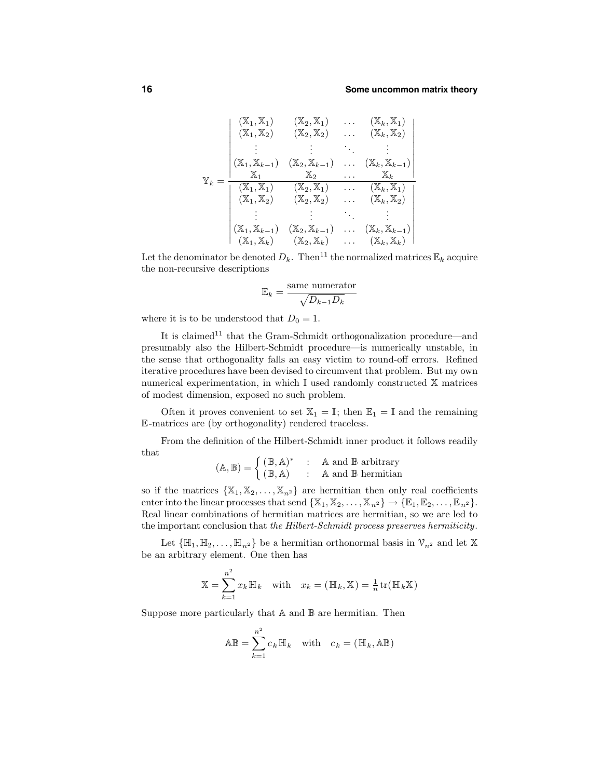$$
\mathbb{Y}_{k} = \frac{\begin{vmatrix} (\mathbb{X}_{1}, \mathbb{X}_{1}) & (\mathbb{X}_{2}, \mathbb{X}_{1}) & \dots & (\mathbb{X}_{k}, \mathbb{X}_{1}) \\ (\mathbb{X}_{1}, \mathbb{X}_{2}) & (\mathbb{X}_{2}, \mathbb{X}_{2}) & \dots & (\mathbb{X}_{k}, \mathbb{X}_{2}) \\ \vdots & \vdots & \ddots & \vdots \\ (\mathbb{X}_{1}, \mathbb{X}_{k-1}) & (\mathbb{X}_{2}, \mathbb{X}_{k-1}) & \dots & (\mathbb{X}_{k}, \mathbb{X}_{k-1}) \\ \hline \mathbb{X}_{1} & \mathbb{X}_{2} & \dots & \mathbb{X}_{k} \\ (\mathbb{X}_{1}, \mathbb{X}_{1}) & (\mathbb{X}_{2}, \mathbb{X}_{1}) & \dots & (\mathbb{X}_{k}, \mathbb{X}_{1}) \\ (\mathbb{X}_{1}, \mathbb{X}_{2}) & (\mathbb{X}_{2}, \mathbb{X}_{2}) & \dots & (\mathbb{X}_{k}, \mathbb{X}_{2}) \\ \vdots & \vdots & \ddots & \vdots \\ (\mathbb{X}_{1}, \mathbb{X}_{k-1}) & (\mathbb{X}_{2}, \mathbb{X}_{k-1}) & \dots & (\mathbb{X}_{k}, \mathbb{X}_{k-1}) \\ (\mathbb{X}_{1}, \mathbb{X}_{k}) & (\mathbb{X}_{2}, \mathbb{X}_{k}) & \dots & (\mathbb{X}_{k}, \mathbb{X}_{k}) \end{vmatrix}}
$$

Let the denominator be denoted  $D_k$ . Then<sup>11</sup> the normalized matrices  $\mathbb{E}_k$  acquire the non-recursive descriptions

$$
\mathbb{E}_k = \frac{\text{same numerator}}{\sqrt{D_{k-1}D_k}}
$$

where it is to be understood that  $D_0 = 1$ .

It is claimed<sup>11</sup> that the Gram-Schmidt orthogonalization procedure—and presumably also the Hilbert-Schmidt procedure—is numerically unstable, in the sense that orthogonality falls an easy victim to round-off errors. Refined iterative procedures have been devised to circumvent that problem. But my own numerical experimentation, in which I used randomly constructed X matrices of modest dimension, exposed no such problem.

Often it proves convenient to set  $\mathbb{X}_1 = \mathbb{I}$ ; then  $\mathbb{E}_1 = \mathbb{I}$  and the remaining E-matrices are (by orthogonality) rendered traceless.

From the definition of the Hilbert-Schmidt inner product it follows readily that

$$
(\mathbb{A}, \mathbb{B}) = \begin{cases} (\mathbb{B}, \mathbb{A})^* & : \quad \mathbb{A} \text{ and } \mathbb{B} \text{ arbitrary} \\ (\mathbb{B}, \mathbb{A}) & : \quad \mathbb{A} \text{ and } \mathbb{B} \text{ hermitian} \end{cases}
$$

so if the matrices  $\{X_1, X_2, \ldots, X_{n^2}\}\$  are hermitian then only real coefficients enter into the linear processes that send  $\{X_1, X_2, \ldots, X_{n^2}\}\rightarrow \{\mathbb{E}_1, \mathbb{E}_2, \ldots, \mathbb{E}_{n^2}\}.$ Real linear combinations of hermitian matrices are hermitian, so we are led to the important conclusion that the Hilbert-Schmidt process preserves hermiticity.

Let  $\{\mathbb{H}_1, \mathbb{H}_2, \ldots, \mathbb{H}_{n^2}\}$  be a hermitian orthonormal basis in  $\mathcal{V}_{n^2}$  and let X be an arbitrary element. One then has

$$
\mathbb{X} = \sum_{k=1}^{n^2} x_k \mathbb{H}_k \quad \text{with} \quad x_k = (\mathbb{H}_k, \mathbb{X}) = \frac{1}{n} \text{tr}(\mathbb{H}_k \mathbb{X})
$$

Suppose more particularly that  $A$  and  $B$  are hermitian. Then

$$
\mathbb{AB} = \sum_{k=1}^{n^2} c_k \mathbb{H}_k \quad \text{with} \quad c_k = (\mathbb{H}_k, \mathbb{AB})
$$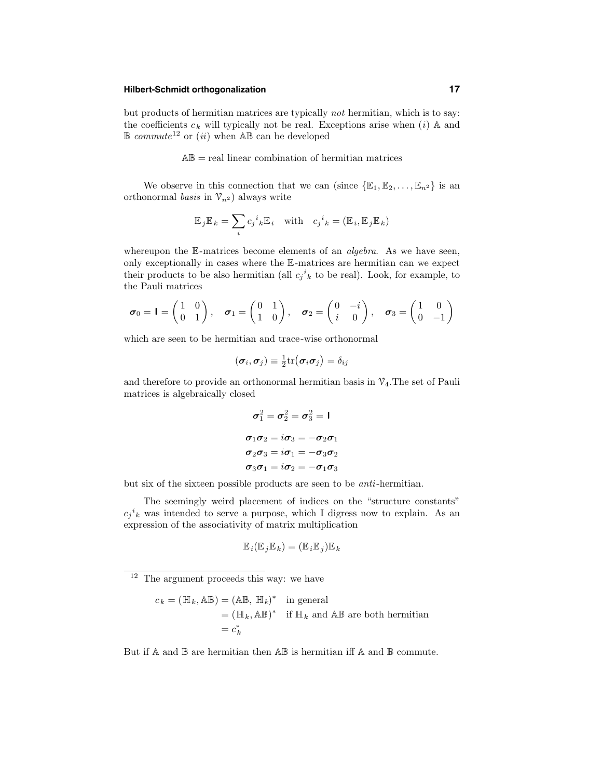# **Hilbert-Schmidt orthogonalization 17**

but products of hermitian matrices are typically not hermitian, which is to say: the coefficients  $c_k$  will typically not be real. Exceptions arise when  $(i)$  A and  $\mathbb B$  commute<sup>12</sup> or *(ii)* when  $\mathbb A\mathbb B$  can be developed

 $AB = real linear combination of hermitian matrices$ 

We observe in this connection that we can (since  $\{\mathbb{E}_1, \mathbb{E}_2, \ldots, \mathbb{E}_{n^2}\}$  is an orthonormal basis in  $\mathcal{V}_{n^2}$  always write

$$
\mathbb{E}_{j}\mathbb{E}_{k} = \sum_{i} c_{j}^{i}{}_{k}\mathbb{E}_{i} \text{ with } c_{j}^{i}{}_{k} = (\mathbb{E}_{i}, \mathbb{E}_{j}\mathbb{E}_{k})
$$

whereupon the  $\mathbb{E}$ -matrices become elements of an *algebra*. As we have seen, only exceptionally in cases where the E-matrices are hermitian can we expect their products to be also hermitian (all  $c_j^i{}_k$  to be real). Look, for example, to the Pauli matrices

$$
\boldsymbol{\sigma}_0 = \mathbf{I} = \begin{pmatrix} 1 & 0 \\ 0 & 1 \end{pmatrix}, \quad \boldsymbol{\sigma}_1 = \begin{pmatrix} 0 & 1 \\ 1 & 0 \end{pmatrix}, \quad \boldsymbol{\sigma}_2 = \begin{pmatrix} 0 & -i \\ i & 0 \end{pmatrix}, \quad \boldsymbol{\sigma}_3 = \begin{pmatrix} 1 & 0 \\ 0 & -1 \end{pmatrix}
$$

which are seen to be hermitian and trace-wise orthonormal

$$
(\boldsymbol{\sigma}_i,\boldsymbol{\sigma}_j)\equiv\tfrac{1}{2}\mathrm{tr}\big(\boldsymbol{\sigma}_i\boldsymbol{\sigma}_j\big)=\delta_{ij}
$$

and therefore to provide an orthonormal hermitian basis in  $\mathcal{V}_4$ . The set of Pauli matrices is algebraically closed

$$
\sigma_1^2 = \sigma_2^2 = \sigma_3^2 = 1
$$
  
\n
$$
\sigma_1 \sigma_2 = i \sigma_3 = -\sigma_2 \sigma_1
$$
  
\n
$$
\sigma_2 \sigma_3 = i \sigma_1 = -\sigma_3 \sigma_2
$$
  
\n
$$
\sigma_3 \sigma_1 = i \sigma_2 = -\sigma_1 \sigma_3
$$

but six of the sixteen possible products are seen to be anti-hermitian.

The seemingly weird placement of indices on the "structure constants"  $c_j{}^i{}_k$  was intended to serve a purpose, which I digress now to explain. As an expression of the associativity of matrix multiplication

$$
\mathbb{E}_i(\mathbb{E}_j \mathbb{E}_k) = (\mathbb{E}_i \mathbb{E}_j) \mathbb{E}_k
$$

<sup>12</sup> The argument proceeds this way: we have

$$
c_k = (\mathbb{H}_k, \mathbb{A}\mathbb{B}) = (\mathbb{A}\mathbb{B}, \mathbb{H}_k)^* \text{ in general}
$$
  
=  $(\mathbb{H}_k, \mathbb{A}\mathbb{B})^*$  if  $\mathbb{H}_k$  and  $\mathbb{A}\mathbb{B}$  are both hermitian  
=  $c_k^*$ 

But if  $A$  and  $B$  are hermitian then  $AB$  is hermitian iff  $A$  and  $B$  commute.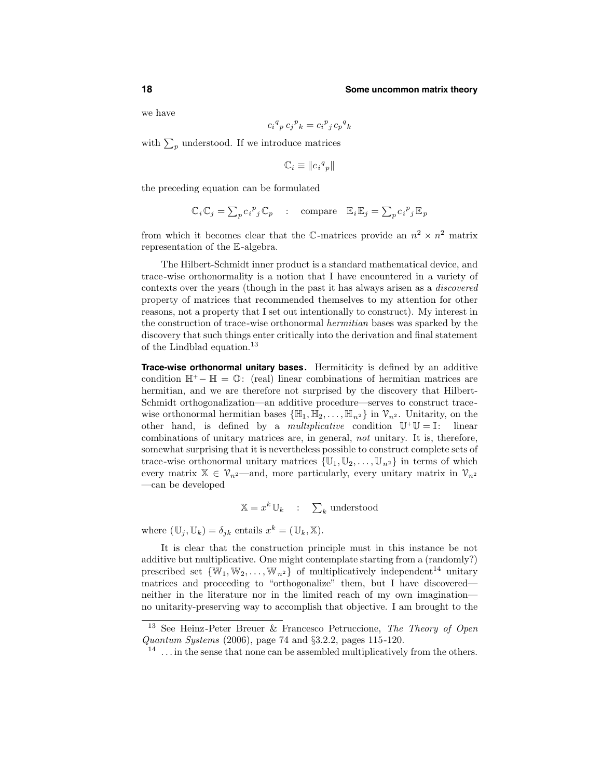we have

$$
c_i^q{}_p\,c_j^{\phantom{p}}{}_k=c_i^{\phantom{p}}{}_j\,c_p^{\phantom{p}}{}_k
$$

with  $\sum_{p}$  understood. If we introduce matrices

ci

$$
\mathbb{C}_i \equiv \| {c_i}^q{}_p \|
$$

the preceding equation can be formulated

$$
\mathbb{C}_i \mathbb{C}_j = \sum_p c_i^p{}_j \mathbb{C}_p \quad : \quad \text{compare} \quad \mathbb{E}_i \mathbb{E}_j = \sum_p c_i^p{}_j \mathbb{E}_p
$$

from which it becomes clear that the C-matrices provide an  $n^2 \times n^2$  matrix representation of the E-algebra.

The Hilbert-Schmidt inner product is a standard mathematical device, and trace-wise orthonormality is a notion that I have encountered in a variety of contexts over the years (though in the past it has always arisen as a discovered property of matrices that recommended themselves to my attention for other reasons, not a property that I set out intentionally to construct). My interest in the construction of trace-wise orthonormal hermitian bases was sparked by the discovery that such things enter critically into the derivation and final statement of the Lindblad equation.<sup>13</sup>

**Trace-wise orthonormal unitary bases.** Hermiticity is defined by an additive condition  $\mathbb{H}^+$  –  $\mathbb{H} = \mathbb{O}$ : (real) linear combinations of hermitian matrices are hermitian, and we are therefore not surprised by the discovery that Hilbert-Schmidt orthogonalization—an additive procedure—serves to construct tracewise orthonormal hermitian bases  $\{\mathbb{H}_1, \mathbb{H}_2, \ldots, \mathbb{H}_{n^2}\}\$  in  $\mathcal{V}_{n^2}$ . Unitarity, on the other hand, is defined by a *multiplicative* condition  $\mathbb{U}^+\mathbb{U}=\mathbb{I}$ : linear combinations of unitary matrices are, in general, not unitary. It is, therefore, somewhat surprising that it is nevertheless possible to construct complete sets of trace-wise orthonormal unitary matrices  $\{\mathbb{U}_1, \mathbb{U}_2, \ldots, \mathbb{U}_{n^2}\}\$  in terms of which every matrix  $\mathbb{X} \in \mathcal{V}_{n^2}$ —and, more particularly, every unitary matrix in  $\mathcal{V}_{n^2}$ —can be developed

$$
\mathbb{X} = x^k \mathbb{U}_k \quad : \quad \sum_k \text{ understood}
$$

where  $(\mathbb{U}_j, \mathbb{U}_k) = \delta_{jk}$  entails  $x^k = (\mathbb{U}_k, \mathbb{X})$ .

It is clear that the construction principle must in this instance be not additive but multiplicative. One might contemplate starting from a (randomly?) prescribed set  $\{W_1, W_2, \ldots, W_{n^2}\}\$  of multiplicatively independent<sup>14</sup> unitary matrices and proceeding to "orthogonalize" them, but I have discovered neither in the literature nor in the limited reach of my own imagination no unitarity-preserving way to accomplish that objective. I am brought to the

<sup>&</sup>lt;sup>13</sup> See Heinz-Peter Breuer & Francesco Petruccione, *The Theory of Open* Quantum Systems (2006), page 74 and §3.2.2, pages 115-120.

 $14$ ... in the sense that none can be assembled multiplicatively from the others.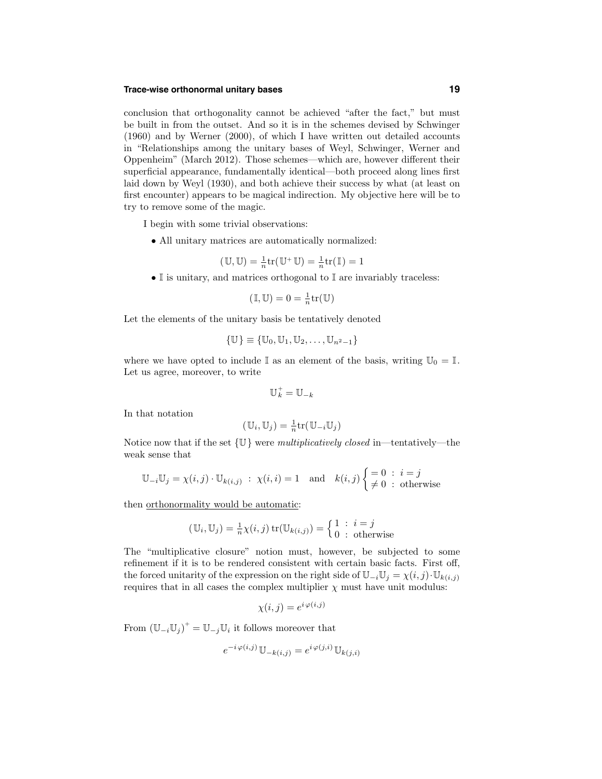# **Trace-wise orthonormal unitary bases 19**

conclusion that orthogonality cannot be achieved "after the fact," but must be built in from the outset. And so it is in the schemes devised by Schwinger (1960) and by Werner (2000), of which I have written out detailed accounts in "Relationships among the unitary bases of Weyl, Schwinger, Werner and Oppenheim" (March 2012). Those schemes—which are, however different their superficial appearance, fundamentally identical—both proceed along lines first laid down by Weyl (1930), and both achieve their success by what (at least on first encounter) appears to be magical indirection. My objective here will be to try to remove some of the magic.

I begin with some trivial observations:

• All unitary matrices are automatically normalized:

$$
(\mathbb{U}, \mathbb{U}) = \frac{1}{n} \text{tr}(\mathbb{U}^+ \mathbb{U}) = \frac{1}{n} \text{tr}(\mathbb{I}) = 1
$$

 $\bullet$  I is unitary, and matrices orthogonal to I are invariably traceless:

$$
(\mathbb{I}, \mathbb{U}) = 0 = \frac{1}{n} \text{tr}(\mathbb{U})
$$

Let the elements of the unitary basis be tentatively denoted

$$
\{\mathbb{U}\}\equiv\{\mathbb{U}_0,\mathbb{U}_1,\mathbb{U}_2,\ldots,\mathbb{U}_{n^2-1}\}
$$

where we have opted to include  $\mathbb I$  as an element of the basis, writing  $\mathbb{U}_0 = \mathbb{I}$ . Let us agree, moreover, to write

$$
\mathbb{U}_k^+ = \mathbb{U}_{-k}
$$

In that notation

$$
(\mathbb{U}_i, \mathbb{U}_j) = \frac{1}{n} \text{tr}(\mathbb{U}_{-i} \mathbb{U}_j)
$$

Notice now that if the set  $\{U\}$  were multiplicatively closed in—tentatively—the weak sense that

$$
\mathbb{U}_{-i}\mathbb{U}_j = \chi(i,j)\cdot \mathbb{U}_{k(i,j)} \; : \; \chi(i,i) = 1 \quad \text{and} \quad k(i,j) \begin{cases} = 0 \; : \; i = j \\ \neq 0 \; : \; \text{otherwise} \end{cases}
$$

then orthonormality would be automatic:

$$
(\mathbb{U}_i, \mathbb{U}_j) = \frac{1}{n}\chi(i, j) \operatorname{tr}(\mathbb{U}_{k(i, j)}) = \begin{cases} 1 : i = j \\ 0 : \text{otherwise} \end{cases}
$$

The "multiplicative closure" notion must, however, be subjected to some refinement if it is to be rendered consistent with certain basic facts. First off, the forced unitarity of the expression on the right side of  $\mathbb{U}_{-i}\mathbb{U}_{j} = \chi(i,j) \cdot \mathbb{U}_{k(i,j)}$ requires that in all cases the complex multiplier  $\chi$  must have unit modulus:

$$
\chi(i,j) = e^{i\,\varphi(i,j)}
$$

From  $(\mathbb{U}_{-i}\mathbb{U}_{j})^+ = \mathbb{U}_{-j}\mathbb{U}_{i}$  it follows moreover that

$$
e^{-i\varphi(i,j)}\mathbb{U}_{-k(i,j)} = e^{i\varphi(j,i)}\mathbb{U}_{k(j,i)}
$$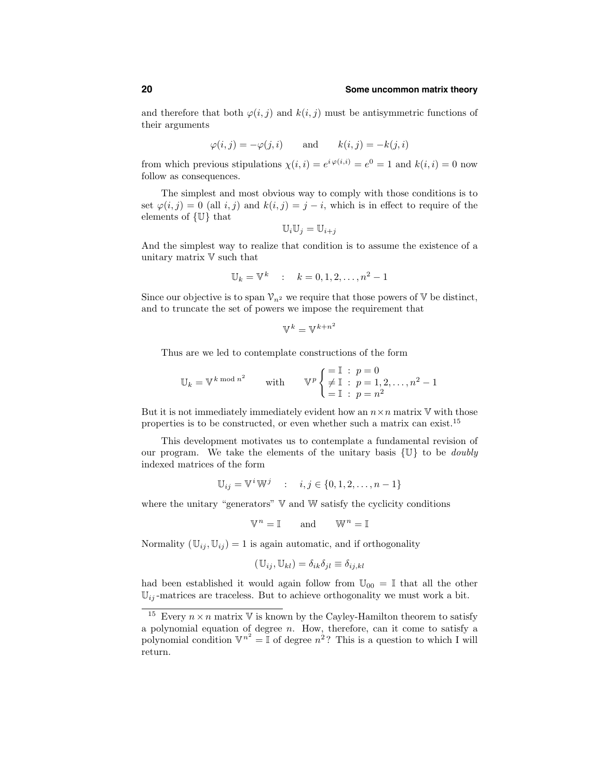and therefore that both  $\varphi(i, j)$  and  $k(i, j)$  must be antisymmetric functions of their arguments

$$
\varphi(i,j) = -\varphi(j,i)
$$
 and  $k(i,j) = -k(j,i)$ 

from which previous stipulations  $\chi(i,i) = e^{i\varphi(i,i)} = e^0 = 1$  and  $k(i,i) = 0$  now follow as consequences.

The simplest and most obvious way to comply with those conditions is to set  $\varphi(i, j) = 0$  (all i, j) and  $k(i, j) = j - i$ , which is in effect to require of the elements of {U} that

$$
\mathbb{U}_i \mathbb{U}_j = \mathbb{U}_{i+j}
$$

And the simplest way to realize that condition is to assume the existence of a unitary matrix V such that

$$
\mathbb{U}_k = \mathbb{V}^k
$$
 :  $k = 0, 1, 2, ..., n^2 - 1$ 

Since our objective is to span  $\mathcal{V}_{n^2}$  we require that those powers of V be distinct, and to truncate the set of powers we impose the requirement that

$$
\mathbb{V}^k=\mathbb{V}^{k+n^2}
$$

Thus are we led to contemplate constructions of the form

$$
\mathbb{U}_k = \mathbb{V}^k \mod n^2 \quad \text{with} \quad \mathbb{V}^p \begin{cases} = \mathbb{I} : p = 0 \\ \neq \mathbb{I} : p = 1, 2, \dots, n^2 - 1 \\ = \mathbb{I} : p = n^2 \end{cases}
$$

But it is not immediately immediately evident how an  $n \times n$  matrix  $\mathbb V$  with those properties is to be constructed, or even whether such a matrix can exist.<sup>15</sup>

This development motivates us to contemplate a fundamental revision of our program. We take the elements of the unitary basis  $\{U\}$  to be *doubly* indexed matrices of the form

$$
\mathbb{U}_{ij} = \mathbb{V}^i \mathbb{W}^j \quad : \quad i, j \in \{0, 1, 2, \dots, n - 1\}
$$

where the unitary "generators"  $V$  and  $W$  satisfy the cyclicity conditions

$$
\mathbb{V}^n = \mathbb{I} \qquad \text{and} \qquad \mathbb{W}^n = \mathbb{I}
$$

Normality  $(\mathbb{U}_{ij}, \mathbb{U}_{ij}) = 1$  is again automatic, and if orthogonality

$$
(\mathbb{U}_{ij}, \mathbb{U}_{kl}) = \delta_{ik}\delta_{jl} \equiv \delta_{ij,kl}
$$

had been established it would again follow from  $\mathbb{U}_{00} = \mathbb{I}$  that all the other  $\mathbb{U}_{ij}$ -matrices are traceless. But to achieve orthogonality we must work a bit.

<sup>&</sup>lt;sup>15</sup> Every  $n \times n$  matrix V is known by the Cayley-Hamilton theorem to satisfy a polynomial equation of degree  $n$ . How, therefore, can it come to satisfy a polynomial condition  $\mathbb{V}^{n^2} = \mathbb{I}$  of degree  $n^2$ ? This is a question to which I will return.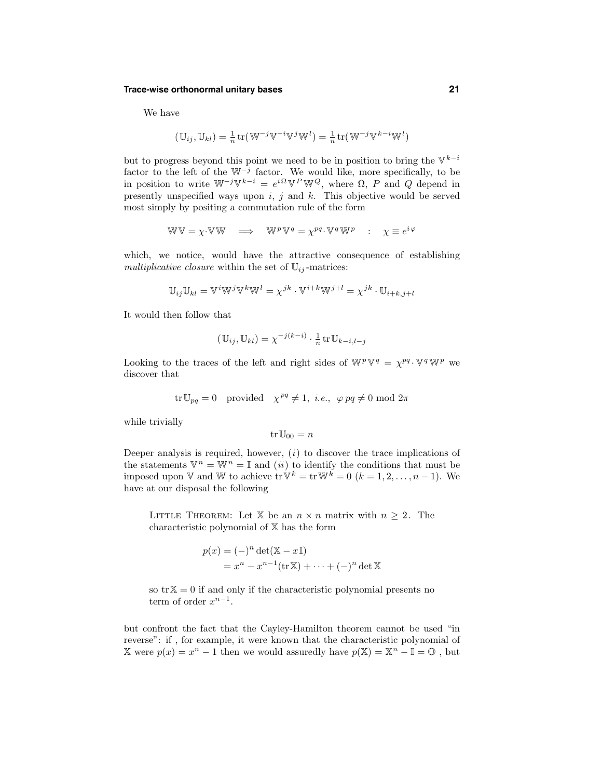## **Trace-wise orthonormal unitary bases 21**

We have

$$
(\mathbb{U}_{ij}, \mathbb{U}_{kl}) = \frac{1}{n} \text{tr}(\mathbb{W}^{-j} \mathbb{V}^{-i} \mathbb{V}^{j} \mathbb{W}^{l}) = \frac{1}{n} \text{tr}(\mathbb{W}^{-j} \mathbb{V}^{k-i} \mathbb{W}^{l})
$$

but to progress beyond this point we need to be in position to bring the  $\mathbb{V}^{k-i}$ factor to the left of the  $W^{-j}$  factor. We would like, more specifically, to be in position to write  $W^{-j}V^{k-i} = e^{i\Omega}V^P W^Q$ , where  $\Omega$ , P and Q depend in presently unspecified ways upon  $i, j$  and  $k$ . This objective would be served most simply by positing a commutation rule of the form

$$
WW = \chi \cdot WW \quad \Longrightarrow \quad W^p W^q = \chi^{pq} \cdot W^q W^p \quad : \quad \chi \equiv e^{i \varphi}
$$

which, we notice, would have the attractive consequence of establishing multiplicative closure within the set of  $\mathbb{U}_{ij}$ -matrices:

$$
\mathbb{U}_{ij}\mathbb{U}_{kl} = \mathbb{V}^i\mathbb{W}^j\mathbb{V}^k\mathbb{W}^l = \chi^{jk} \cdot \mathbb{V}^{i+k}\mathbb{W}^{j+l} = \chi^{jk} \cdot \mathbb{U}_{i+k,j+l}
$$

It would then follow that

$$
(\mathbb{U}_{ij}, \mathbb{U}_{kl}) = \chi^{-j(k-i)} \cdot \frac{1}{n} \operatorname{tr} \mathbb{U}_{k-i,l-j}
$$

Looking to the traces of the left and right sides of  $\mathbb{W}^p \mathbb{V}^q = \chi^{pq} \cdot \mathbb{V}^q \mathbb{W}^p$  we discover that

$$
\text{tr}\,\mathbb{U}_{pq} = 0 \quad \text{provided} \quad \chi^{pq} \neq 1, \ i.e., \quad \varphi \, pq \neq 0 \text{ mod } 2\pi
$$

while trivially

$$
\mathrm{tr}\, \mathbb{U}_{00}=n
$$

Deeper analysis is required, however,  $(i)$  to discover the trace implications of the statements  $\mathbb{V}^n = \mathbb{W}^n = \mathbb{I}$  and *(ii)* to identify the conditions that must be imposed upon V and W to achieve tr $\mathbb{V}^k = \text{tr} \mathbb{W}^k = 0$   $(k = 1, 2, \ldots, n-1)$ . We have at our disposal the following

LITTLE THEOREM: Let X be an  $n \times n$  matrix with  $n \geq 2$ . The characteristic polynomial of X has the form

$$
p(x) = (-)^n \det(\mathbb{X} - x\mathbb{I})
$$
  
=  $x^n - x^{n-1}(\text{tr}\mathbb{X}) + \dots + (-)^n \det \mathbb{X}$ 

so  $\text{tr}\,\mathbb{X} = 0$  if and only if the characteristic polynomial presents no term of order  $x^{n-1}$ .

but confront the fact that the Cayley-Hamilton theorem cannot be used "in reverse": if , for example, it were known that the characteristic polynomial of X were  $p(x) = x^n - 1$  then we would assuredly have  $p(X) = X^n - I = 0$ , but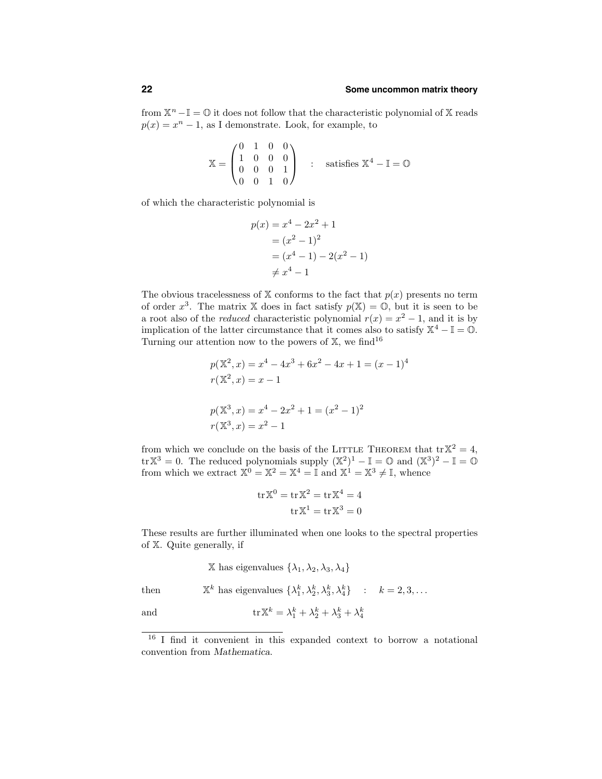from  $X^n - I = \mathbb{O}$  it does not follow that the characteristic polynomial of X reads  $p(x) = x^{n} - 1$ , as I demonstrate. Look, for example, to

$$
\mathbb{X} = \begin{pmatrix} 0 & 1 & 0 & 0 \\ 1 & 0 & 0 & 0 \\ 0 & 0 & 0 & 1 \\ 0 & 0 & 1 & 0 \end{pmatrix} \quad : \quad \text{satisfies } \mathbb{X}^4 - \mathbb{I} = \mathbb{O}
$$

of which the characteristic polynomial is

$$
p(x) = x4 - 2x2 + 1
$$
  
=  $(x2 - 1)2$   
=  $(x4 - 1) - 2(x2 - 1)$   
 $\neq x4 - 1$ 

The obvious tracelessness of  $X$  conforms to the fact that  $p(x)$  presents no term of order  $x^3$ . The matrix X does in fact satisfy  $p(X) = 0$ , but it is seen to be a root also of the *reduced* characteristic polynomial  $r(x) = x^2 - 1$ , and it is by implication of the latter circumstance that it comes also to satisfy  $\mathbb{X}^4 - \mathbb{I} = \mathbb{O}$ . Turning our attention now to the powers of  $X$ , we find<sup>16</sup>

$$
p(\mathbb{X}^2, x) = x^4 - 4x^3 + 6x^2 - 4x + 1 = (x - 1)^4
$$
  

$$
r(\mathbb{X}^2, x) = x - 1
$$
  

$$
p(\mathbb{X}^3, x) = x^4 - 2x^2 + 1 = (x^2 - 1)^2
$$
  

$$
r(\mathbb{X}^3, x) = x^2 - 1
$$

from which we conclude on the basis of the LITTLE THEOREM that  $\text{tr}\,\mathbb{X}^2 = 4$ ,  $\text{tr}\,\mathbb{X}^3 = 0$ . The reduced polynomials supply  $(\mathbb{X}^2)^1 - \mathbb{I} = \mathbb{O}$  and  $(\mathbb{X}^3)^2 - \mathbb{I} = \mathbb{O}$ from which we extract  $\mathbb{X}^0 = \mathbb{X}^2 = \mathbb{X}^4 = \mathbb{I}$  and  $\mathbb{X}^1 = \mathbb{X}^3 \neq \mathbb{I}$ , whence

$$
\operatorname{tr} \mathbb{X}^0 = \operatorname{tr} \mathbb{X}^2 = \operatorname{tr} \mathbb{X}^4 = 4
$$

$$
\operatorname{tr} \mathbb{X}^1 = \operatorname{tr} \mathbb{X}^3 = 0
$$

These results are further illuminated when one looks to the spectral properties of X. Quite generally, if

X has eigenvalues 
$$
\{\lambda_1, \lambda_2, \lambda_3, \lambda_4\}
$$

then  $\mathbb{X}^k$  has eigenvalues  $\{\lambda_1^k, \lambda_2^k, \lambda_3^k, \lambda_4^k\}$  :  $k = 2, 3, ...$ 

and  $\operatorname{tr} \mathbb{X}^k = \lambda_1^k + \lambda_2^k + \lambda_3^k + \lambda_4^k$ 

<sup>16</sup> I find it convenient in this expanded context to borrow a notational convention from Mathematica.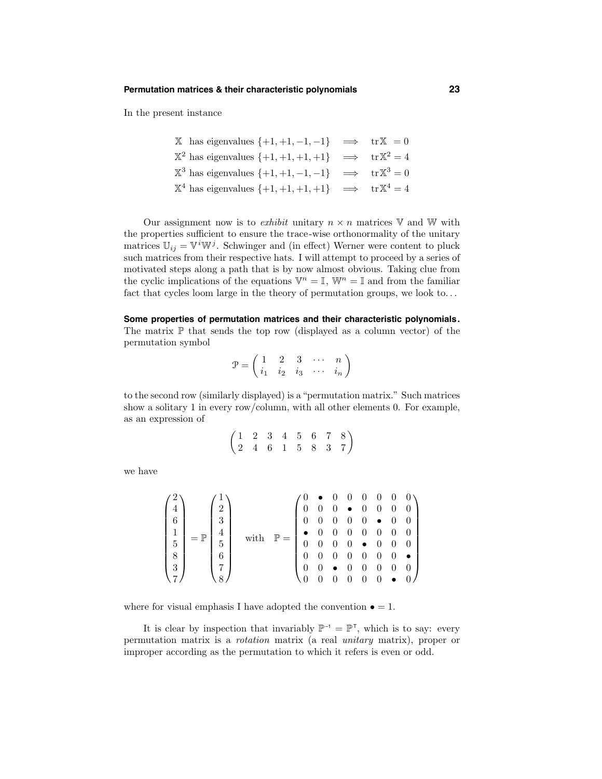In the present instance

| $\mathbb{X}$ has eigenvalues $\{+1, +1, -1, -1\}$ $\implies$ tr $\mathbb{X} = 0$     |  |
|--------------------------------------------------------------------------------------|--|
| $\mathbb{X}^2$ has eigenvalues $\{+1, +1, +1, +1\}$ $\implies$ $tr \mathbb{X}^2 = 4$ |  |
| $\mathbb{X}^3$ has eigenvalues $\{+1, +1, -1, -1\}$ $\implies$ $tr \mathbb{X}^3 = 0$ |  |
| $\mathbb{X}^4$ has eigenvalues $\{+1, +1, +1, +1\}$ $\implies$ $tr \mathbb{X}^4 = 4$ |  |

Our assignment now is to *exhibit* unitary  $n \times n$  matrices V and W with the properties sufficient to ensure the trace-wise orthonormality of the unitary matrices  $\mathbb{U}_{ij} = \mathbb{V}^i \mathbb{W}^j$ . Schwinger and (in effect) Werner were content to pluck such matrices from their respective hats. I will attempt to proceed by a series of motivated steps along a path that is by now almost obvious. Taking clue from the cyclic implications of the equations  $\mathbb{V}^n = \mathbb{I}$ ,  $\mathbb{W}^n = \mathbb{I}$  and from the familiar fact that cycles loom large in the theory of permutation groups, we look to. . .

**Some properties of permutation matrices and their characteristic polynomials.** The matrix  $\mathbb P$  that sends the top row (displayed as a column vector) of the permutation symbol

$$
\mathcal{P} = \begin{pmatrix} 1 & 2 & 3 & \cdots & n \\ i_1 & i_2 & i_3 & \cdots & i_n \end{pmatrix}
$$

to the second row (similarly displayed) is a "permutation matrix." Such matrices show a solitary 1 in every row/column, with all other elements 0. For example, as an expression of

$$
\begin{pmatrix}\n1 & 2 & 3 & 4 & 5 & 6 & 7 & 8 \\
2 & 4 & 6 & 1 & 5 & 8 & 3 & 7\n\end{pmatrix}
$$

we have

$$
\begin{pmatrix} 2 \\ 4 \\ 6 \\ 1 \\ 5 \\ 8 \\ 3 \\ 7 \end{pmatrix} = \mathbb{P} \begin{pmatrix} 1 \\ 2 \\ 3 \\ 4 \\ 5 \\ 6 \\ 7 \\ 8 \end{pmatrix} \quad \text{with} \quad \mathbb{P} = \begin{pmatrix} 0 & \bullet & 0 & 0 & 0 & 0 & 0 & 0 \\ 0 & 0 & 0 & \bullet & 0 & 0 & 0 \\ 0 & 0 & 0 & 0 & \bullet & 0 & 0 & 0 \\ 0 & 0 & 0 & 0 & 0 & \bullet & 0 & 0 \\ 0 & 0 & 0 & 0 & 0 & 0 & 0 & 0 \\ 0 & 0 & 0 & 0 & 0 & 0 & 0 & 0 \\ 0 & 0 & 0 & 0 & 0 & 0 & 0 & 0 \\ 0 & 0 & 0 & 0 & 0 & 0 & 0 & 0 \\ 0 & 0 & 0 & 0 & 0 & 0 & 0 & 0 \\ 0 & 0 & 0 & 0 & 0 & 0 & 0 & 0 \\ 0 & 0 & 0 & 0 & 0 & 0 & 0 & 0 \\ 0 & 0 & 0 & 0 & 0 & 0 & 0 & 0 \\ 0 & 0 & 0 & 0 & 0 & 0 & 0 & 0 \\ 0 & 0 & 0 & 0 & 0 & 0 & 0 & 0 \\ 0 & 0 & 0 & 0 & 0 & 0 & 0 & 0 \\ 0 & 0 & 0 & 0 & 0 & 0 & 0 & 0 \\ 0 & 0 & 0 & 0 & 0 & 0 & 0 & 0 \\ 0 & 0 & 0 & 0 & 0 & 0 & 0 & 0 \\ 0 & 0 & 0 & 0 & 0 & 0 & 0 & 0 \\ 0 & 0 & 0 & 0 & 0 & 0 & 0 & 0 \\ 0 & 0 & 0 & 0 & 0 & 0 & 0 & 0 \\ 0 & 0 & 0 & 0 & 0 & 0 & 0 & 0 \\ 0 & 0 & 0 & 0 & 0 & 0 & 0 & 0 \\ 0 & 0 & 0 & 0 & 0 & 0 & 0 & 0 \\ 0 & 0 & 0 & 0 & 0 & 0 & 0 & 0 \\ 0 & 0 & 0 & 0 & 0 & 0 & 0 & 0 \\ 0 & 0 & 0 & 0 & 0 & 0 & 0 & 0 \\ 0 & 0 & 0 & 0 & 0 &
$$

where for visual emphasis I have adopted the convention  $\bullet = 1$ .

It is clear by inspection that invariably  $\mathbb{P}^{-1} = \mathbb{P}^{\tau}$ , which is to say: every permutation matrix is a rotation matrix (a real unitary matrix), proper or improper according as the permutation to which it refers is even or odd.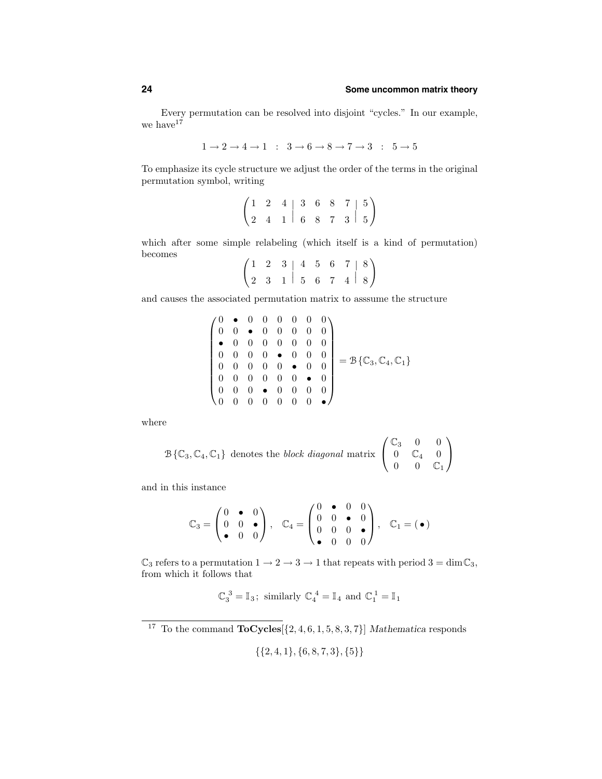Every permutation can be resolved into disjoint "cycles." In our example, we have  $17$ 

$$
1 \rightarrow 2 \rightarrow 4 \rightarrow 1 \quad : \quad 3 \rightarrow 6 \rightarrow 8 \rightarrow 7 \rightarrow 3 \quad : \quad 5 \rightarrow 5
$$

To emphasize its cycle structure we adjust the order of the terms in the original permutation symbol, writing

$$
\begin{pmatrix} 1 & 2 & 4 & 3 & 6 & 8 & 7 & 5 \ 2 & 4 & 1 & 6 & 8 & 7 & 3 & 5 \end{pmatrix}
$$

which after some simple relabeling (which itself is a kind of permutation) becomes

$$
\begin{pmatrix}\n1 & 2 & 3 & | & 4 & 5 & 6 & 7 & | & 8 \\
2 & 3 & 1 & | & 5 & 6 & 7 & 4 & | & 8\n\end{pmatrix}
$$

and causes the associated permutation matrix to asssume the structure

$$
\begin{pmatrix}\n0 & \bullet & 0 & 0 & 0 & 0 & 0 & 0 \\
0 & 0 & \bullet & 0 & 0 & 0 & 0 & 0 \\
\bullet & 0 & 0 & 0 & 0 & 0 & 0 & 0 \\
0 & 0 & 0 & 0 & \bullet & 0 & 0 & 0 \\
0 & 0 & 0 & 0 & 0 & \bullet & 0 & 0 \\
0 & 0 & 0 & 0 & 0 & \bullet & 0 & 0 \\
0 & 0 & 0 & 0 & 0 & 0 & 0 & 0\n\end{pmatrix} = \mathcal{B}\{\mathbb{C}_3, \mathbb{C}_4, \mathbb{C}_1\}
$$

where

$$
\mathcal{B}\{\mathbb{C}_3, \mathbb{C}_4, \mathbb{C}_1\} \text{ denotes the } block\ diagonal\ matrix \begin{pmatrix} \mathbb{C}_3 & 0 & 0 \\ 0 & \mathbb{C}_4 & 0 \\ 0 & 0 & \mathbb{C}_1 \end{pmatrix}
$$

and in this instance

$$
\mathbb{C}_3 = \begin{pmatrix} 0 & \bullet & 0 \\ 0 & 0 & \bullet \\ \bullet & 0 & 0 \end{pmatrix}, \quad \mathbb{C}_4 = \begin{pmatrix} 0 & \bullet & 0 & 0 \\ 0 & 0 & \bullet & 0 \\ 0 & 0 & 0 & \bullet \\ \bullet & 0 & 0 & 0 \end{pmatrix}, \quad \mathbb{C}_1 = (\bullet)
$$

 $\mathbb{C}_3$  refers to a permutation  $1\to 2\to 3\to 1$  that repeats with period  $3=\dim \mathbb{C}_3,$ from which it follows that

$$
\mathbb{C}_3^3 = \mathbb{I}_3
$$
; similarly  $\mathbb{C}_4^4 = \mathbb{I}_4$  and  $\mathbb{C}_1^1 = \mathbb{I}_1$ 

<sup>17</sup> To the command  $\textbf{ToCycles}[\{2, 4, 6, 1, 5, 8, 3, 7\}]$  Mathematica responds

$$
\{\{2,4,1\},\{6,8,7,3\},\{5\}\}\
$$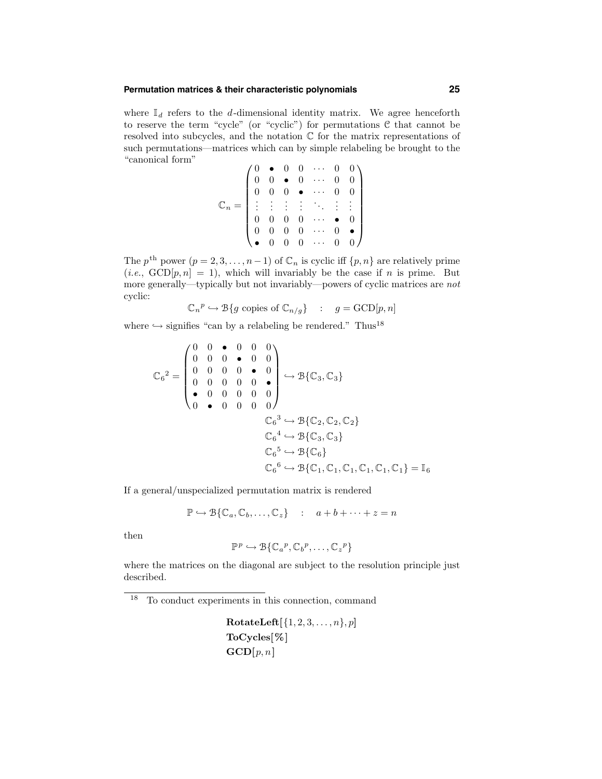# **Permutation matrices & their characteristic polynomials 25**

where  $\mathbb{I}_d$  refers to the d-dimensional identity matrix. We agree henceforth to reserve the term "cycle" (or "cyclic") for permutations  $C$  that cannot be resolved into subcycles, and the notation C for the matrix representations of such permutations—matrices which can by simple relabeling be brought to the "canonical form"  $\overline{10}$ 

$$
\mathbb{C}_n = \begin{pmatrix} 0 & \bullet & 0 & 0 & \cdots & 0 & 0 \\ 0 & 0 & \bullet & 0 & \cdots & 0 & 0 \\ 0 & 0 & 0 & \bullet & \cdots & 0 & 0 \\ \vdots & \vdots & \vdots & \vdots & \ddots & \vdots & \vdots \\ 0 & 0 & 0 & 0 & \cdots & \bullet & 0 \\ 0 & 0 & 0 & 0 & \cdots & 0 & \bullet \\ \bullet & 0 & 0 & 0 & \cdots & 0 & 0 \end{pmatrix}
$$

The  $p^{\text{th}}$  power  $(p = 2, 3, ..., n - 1)$  of  $\mathbb{C}_n$  is cyclic iff  $\{p, n\}$  are relatively prime  $(i.e., GCD[p, n] = 1)$ , which will invariably be the case if n is prime. But more generally—typically but not invariably—powers of cyclic matrices are not cyclic:

$$
\mathbb{C}_n^{\ p}\hookrightarrow \mathbb{B}\{g \text{ copies of } \mathbb{C}_{n/g}\} \quad : \quad g=\text{GCD}[p,n]
$$

where  $\hookrightarrow$  signifies "can by a relabeling be rendered." Thus<sup>18</sup>

$$
\mathbb{C}_{6}^{2} = \begin{pmatrix} 0 & 0 & \bullet & 0 & 0 & 0 \\ 0 & 0 & 0 & \bullet & 0 & 0 \\ 0 & 0 & 0 & 0 & \bullet & 0 \\ 0 & 0 & 0 & 0 & 0 & \bullet \\ \bullet & 0 & 0 & 0 & 0 & 0 \\ 0 & \bullet & 0 & 0 & 0 & 0 \end{pmatrix} \hookrightarrow B\{\mathbb{C}_{3}, \mathbb{C}_{3}\}
$$

$$
\mathbb{C}_{6}^{3} \hookrightarrow B\{\mathbb{C}_{2}, \mathbb{C}_{2}, \mathbb{C}_{2}\}
$$

$$
\mathbb{C}_{6}^{4} \hookrightarrow B\{\mathbb{C}_{3}, \mathbb{C}_{3}\}
$$

$$
\mathbb{C}_{6}^{5} \hookrightarrow B\{\mathbb{C}_{6}\}
$$

$$
\mathbb{C}_{6}^{6} \hookrightarrow B\{\mathbb{C}_{1}, \mathbb{C}_{1}, \mathbb{C}_{1}, \mathbb{C}_{1}, \mathbb{C}_{1}, \mathbb{C}_{1}\} = \mathbb{I}_{6}
$$

If a general/unspecialized permutation matrix is rendered

$$
\mathbb{P} \hookrightarrow \mathcal{B}\{\mathbb{C}_a, \mathbb{C}_b, \dots, \mathbb{C}_z\} \quad : \quad a+b+\dots+z=n
$$

then

$$
\mathbb{P}^p \hookrightarrow \mathcal{B}\{\mathbb{C}_a^p, \mathbb{C}_b^p, \dots, \mathbb{C}_z^p\}
$$

where the matrices on the diagonal are subject to the resolution principle just described.

<sup>18</sup> To conduct experiments in this connection, command

 $\textbf{RotateLeft}[\{1, 2, 3, \ldots, n\}, p]$ ToCycles[%]  $\mathbf{GCD}[p,n]$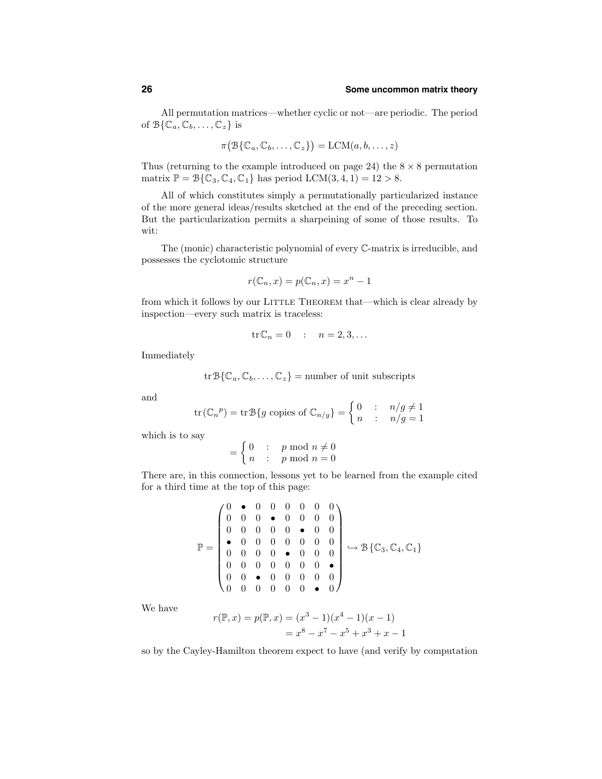All permutation matrices—whether cyclic or not—are periodic. The period of  $\mathcal{B}\{\mathbb{C}_a,\mathbb{C}_b,\ldots,\mathbb{C}_z\}$  is

$$
\pi(\mathcal{B}\{\mathbb{C}_a,\mathbb{C}_b,\ldots,\mathbb{C}_z\}) = \mathrm{LCM}(a,b,\ldots,z)
$$

Thus (returning to the example introduced on page 24) the  $8 \times 8$  permutation matrix  $\mathbb{P} = \mathcal{B}\{\mathbb{C}_3, \mathbb{C}_4, \mathbb{C}_1\}$  has period  $LCM(3, 4, 1) = 12 > 8$ .

All of which constitutes simply a permutationally particularized instance of the more general ideas/results sketched at the end of the preceding section. But the particularization permits a sharpeining of some of those results. To wit:

The (monic) characteristic polynomial of every C-matrix is irreducible, and possesses the cyclotomic structure

$$
r(\mathbb{C}_n, x) = p(\mathbb{C}_n, x) = x^n - 1
$$

from which it follows by our LITTLE THEOREM that—which is clear already by inspection—every such matrix is traceless:

$$
\operatorname{tr}\mathbb{C}_n=0\quad:\quad n=2,3,\ldots
$$

Immediately

$$
\operatorname{tr} \mathcal{B}\{\mathbb{C}_a, \mathbb{C}_b, \dots, \mathbb{C}_z\} = \text{number of unit subscripts}
$$

and

$$
\operatorname{tr}(\mathbb{C}_n{}^p) = \operatorname{tr} \mathfrak{B}\{g \text{ copies of } \mathbb{C}_{n/g}\} = \begin{cases} 0 & \colon & n/g \neq 1 \\ n & \colon & n/g = 1 \end{cases}
$$

which is to say

$$
= \begin{cases} 0 & \colon & p \bmod n \neq 0 \\ n & \colon & p \bmod n = 0 \end{cases}
$$

There are, in this connection, lessons yet to be learned from the example cited for a third time at the top of this page:

$$
\mathbb{P} = \begin{pmatrix} 0 & \bullet & 0 & 0 & 0 & 0 & 0 & 0 \\ 0 & 0 & 0 & \bullet & 0 & 0 & 0 & 0 \\ 0 & 0 & 0 & 0 & \bullet & 0 & 0 & 0 \\ \bullet & 0 & 0 & 0 & 0 & 0 & 0 & 0 \\ 0 & 0 & 0 & 0 & \bullet & 0 & 0 & 0 \\ 0 & 0 & 0 & 0 & 0 & 0 & 0 & \bullet \\ 0 & 0 & \bullet & 0 & 0 & 0 & 0 & 0 \\ 0 & 0 & 0 & 0 & 0 & 0 & 0 & \bullet & 0 \end{pmatrix} \hookrightarrow \mathcal{B}\{\mathbb{C}_{3}, \mathbb{C}_{4}, \mathbb{C}_{1}\}
$$

We have

$$
r(\mathbb{P}, x) = p(\mathbb{P}, x) = (x^3 - 1)(x^4 - 1)(x - 1)
$$
  
=  $x^8 - x^7 - x^5 + x^3 + x - 1$ 

so by the Cayley-Hamilton theorem expect to have (and verify by computation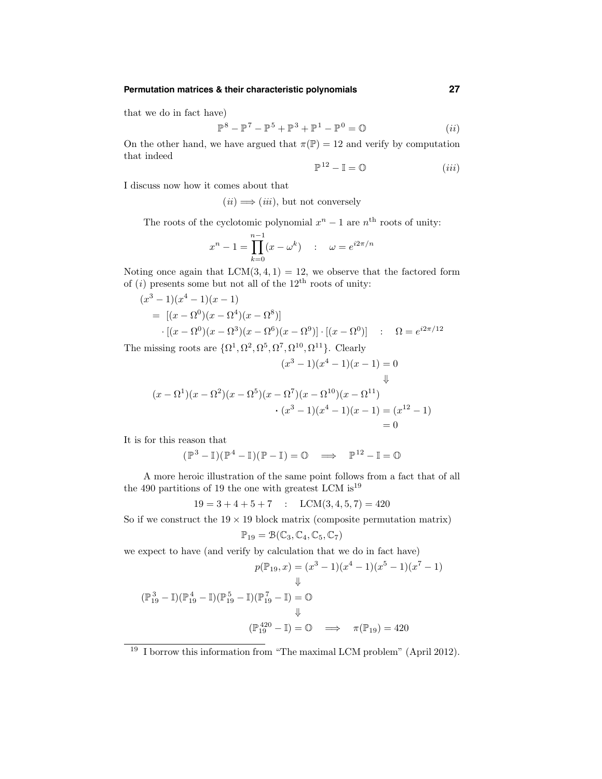# **Permutation matrices & their characteristic polynomials 27**

that we do in fact have)

$$
\mathbb{P}^8 - \mathbb{P}^7 - \mathbb{P}^5 + \mathbb{P}^3 + \mathbb{P}^1 - \mathbb{P}^0 = \mathbb{O}
$$
 (ii)

On the other hand, we have argued that  $\pi(\mathbb{P}) = 12$  and verify by computation that indeed

$$
\mathbb{P}^{12} - \mathbb{I} = \mathbb{O} \tag{iii}
$$

I discuss now how it comes about that

$$
(ii) \Longrightarrow (iii), \text{ but not conversely}
$$

The roots of the cyclotomic polynomial  $x^n - 1$  are  $n^{\text{th}}$  roots of unity:

$$
x^{n} - 1 = \prod_{k=0}^{n-1} (x - \omega^{k}) \quad : \quad \omega = e^{i2\pi/n}
$$

Noting once again that  $LCM(3, 4, 1) = 12$ , we observe that the factored form of  $(i)$  presents some but not all of the 12<sup>th</sup> roots of unity:

$$
(x^3 - 1)(x^4 - 1)(x - 1)
$$
  
= [(x - \Omega^0)(x - \Omega^4)(x - \Omega^8)]  
 
$$
\cdot [(x - \Omega^0)(x - \Omega^3)(x - \Omega^6)(x - \Omega^9)] \cdot [(x - \Omega^0)] \quad : \quad \Omega = e^{i2\pi/12}
$$

The missing roots are  $\{\Omega^1, \Omega^2, \Omega^5, \Omega^7, \Omega^{10}, \Omega^{11}\}.$  Clearly

$$
(x^{3} - 1)(x^{4} - 1)(x - 1) = 0
$$
  

$$
(\bar{x} - \Omega^{1})(x - \Omega^{2})(x - \Omega^{5})(x - \Omega^{7})(x - \Omega^{10})(x - \Omega^{11})
$$
  

$$
\cdot (x^{3} - 1)(x^{4} - 1)(x - 1) = (x^{12} - 1)
$$
  

$$
= 0
$$

It is for this reason that

$$
(\mathbb{P}^3-\mathbb{I})(\mathbb{P}^4-\mathbb{I})(\mathbb{P}-\mathbb{I})=\mathbb{O}\quad\Longrightarrow\quad\mathbb{P}^{12}-\mathbb{I}=\mathbb{O}
$$

A more heroic illustration of the same point follows from a fact that of all the 490 partitions of 19 the one with greatest LCM is  $19$ 

$$
19 = 3 + 4 + 5 + 7 : LCM(3, 4, 5, 7) = 420
$$

So if we construct the  $19 \times 19$  block matrix (composite permutation matrix)

$$
\mathbb{P}_{19}=\mathcal{B}(\mathbb{C}_3,\mathbb{C}_4,\mathbb{C}_5,\mathbb{C}_7)
$$

we expect to have (and verify by calculation that we do in fact have)

$$
p(\mathbb{P}_{19}, x) = (x^3 - 1)(x^4 - 1)(x^5 - 1)(x^7 - 1)
$$
  
\$\downarrow\$

$$
(\mathbb{P}_{19}^3 - \mathbb{I})(\mathbb{P}_{19}^4 - \mathbb{I})(\mathbb{P}_{19}^5 - \mathbb{I})(\mathbb{P}_{19}^7 - \mathbb{I}) = \mathbb{O}
$$
  
\$\Downarrow\$  

$$
(\mathbb{P}_{19}^{420} - \mathbb{I}) = \mathbb{O} \implies \pi(\mathbb{P}_{19}) = 420
$$

<sup>19</sup> I borrow this information from "The maximal LCM problem" (April 2012).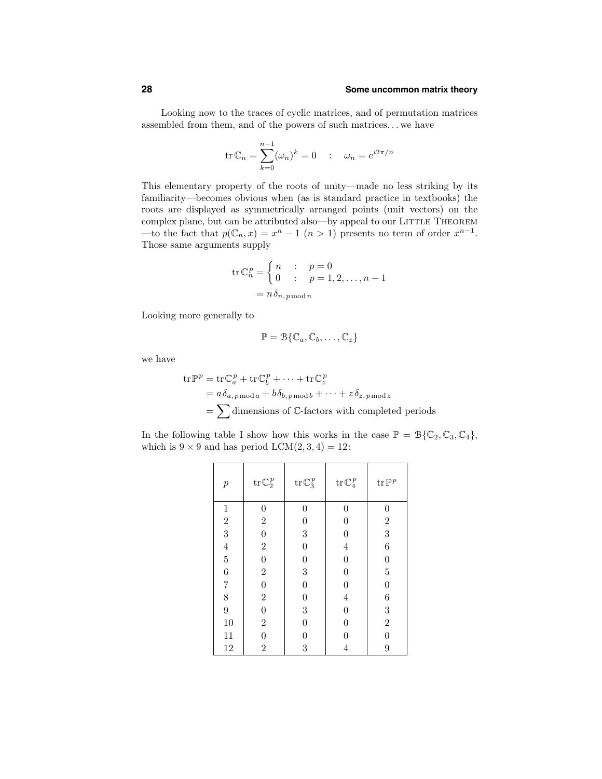Looking now to the traces of cyclic matrices, and of permutation matrices assembled from them, and of the powers of such matrices. . . we have

$$
\operatorname{tr} \mathbb{C}_n = \sum_{k=0}^{n-1} (\omega_n)^k = 0 \quad : \quad \omega_n = e^{i2\pi/n}
$$

This elementary property of the roots of unity—made no less striking by its familiarity—becomes obvious when (as is standard practice in textbooks) the roots are displayed as symmetrically arranged points (unit vectors) on the complex plane, but can be attributed also—by appeal to our LITTLE THEOREM —to the fact that  $p(\mathbb{C}_n, x) = x^n - 1$   $(n > 1)$  presents no term of order  $x^{n-1}$ . Those same arguments supply

$$
\operatorname{tr} \mathbb{C}_n^p = \begin{cases} n & \colon & p = 0 \\ 0 & \colon & p = 1, 2, \dots, n - 1 \end{cases}
$$

$$
= n \delta_{n, p \mod n}
$$

Looking more generally to

$$
\mathbb{P} = \mathcal{B}\{\mathbb{C}_a, \mathbb{C}_b, \dots, \mathbb{C}_z\}
$$

we have

$$
\begin{aligned} \text{tr}\mathbb{P}^p &= \text{tr}\,\mathbb{C}_a^p + \text{tr}\,\mathbb{C}_b^p + \dots + \text{tr}\,\mathbb{C}_z^p \\ &= a\,\delta_{a,\,p\,\text{mod}\,a} + b\,\delta_{b,\,p\,\text{mod}\,b} + \dots + z\,\delta_{z,\,p\,\text{mod}\,z} \\ &= \sum \text{dimensions of }\mathbb{C}\text{-factors with completed periods} \end{aligned}
$$

In the following table I show how this works in the case  $\mathbb{P} = \mathcal{B}\{\mathbb{C}_2, \mathbb{C}_3, \mathbb{C}_4\},\$ which is  $9 \times 9$  and has period LCM $(2, 3, 4) = 12$ :

| $\boldsymbol{p}$                           | $\operatorname{tr} {\mathbb C}_2^{\,p}$ | $\mathrm{tr}\, \mathbb{C}_3^{\, p}$ | $\mathrm{tr}\, \mathbb{C}_4^{\, p}$ | $\mathop{\rm tr}\nolimits\mathbb{P}^{\,p}$ |
|--------------------------------------------|-----------------------------------------|-------------------------------------|-------------------------------------|--------------------------------------------|
| $\mathbf{1}$                               | 0                                       | 0                                   | 0                                   | 0                                          |
| $\frac{2}{3}$                              | $\overline{2}$                          | $\boldsymbol{0}$                    | $\boldsymbol{0}$                    | $\boldsymbol{2}$                           |
|                                            | $\boldsymbol{0}$                        | 3                                   | $\overline{0}$                      | 3                                          |
| $\frac{4}{5}$                              | $\overline{2}$                          | $\boldsymbol{0}$                    | $\overline{4}$                      | 6                                          |
|                                            | $\boldsymbol{0}$                        | $\boldsymbol{0}$                    | $\overline{0}$                      | $\overline{0}$                             |
| 6                                          | $\overline{2}$                          | 3                                   | $\boldsymbol{0}$                    | $\overline{5}$                             |
|                                            | $\overline{0}$                          | $\boldsymbol{0}$                    | $\overline{0}$                      | $\overline{0}$                             |
| $\begin{array}{c} 7 \\ 8 \\ 9 \end{array}$ | $\boldsymbol{2}$                        | $\boldsymbol{0}$                    | $\overline{4}$                      | 6                                          |
|                                            | $\boldsymbol{0}$                        | 3                                   | $\overline{0}$                      | 3                                          |
| $10\,$                                     | $\boldsymbol{2}$                        | $\boldsymbol{0}$                    | $\boldsymbol{0}$                    | $\overline{2}$                             |
| 11                                         | $\overline{0}$                          | $\overline{0}$                      | 0                                   | $\overline{0}$                             |
| 12                                         | $\overline{2}$                          | 3                                   | 4                                   | 9                                          |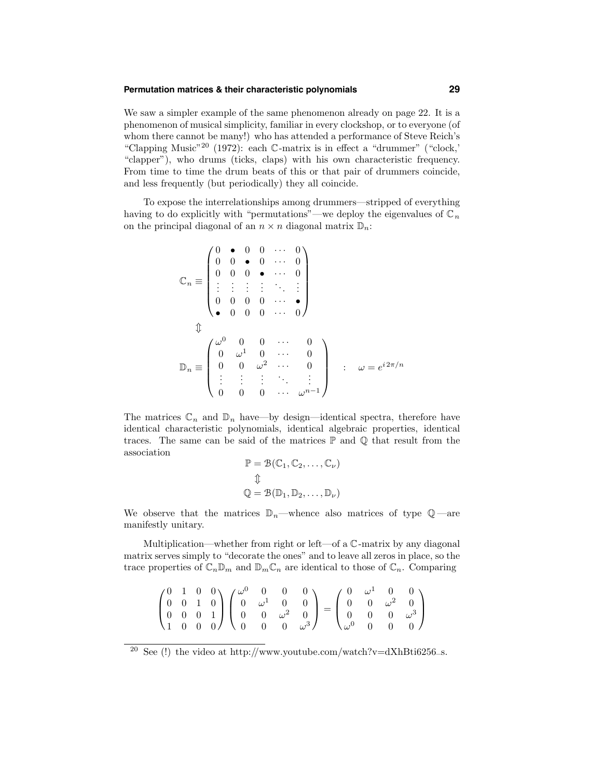# **Permutation matrices & their characteristic polynomials 29**

We saw a simpler example of the same phenomenon already on page 22. It is a phenomenon of musical simplicity, familiar in every clockshop, or to everyone (of whom there cannot be many!) who has attended a performance of Steve Reich's "Clapping Music"<sup>20</sup> (1972): each C-matrix is in effect a "drummer" ("clock,' "clapper"), who drums (ticks, claps) with his own characteristic frequency. From time to time the drum beats of this or that pair of drummers coincide, and less frequently (but periodically) they all coincide.

To expose the interrelationships among drummers—stripped of everything having to do explicitly with "permutations"—we deploy the eigenvalues of  $\mathbb{C}_n$ on the principal diagonal of an  $n \times n$  diagonal matrix  $\mathbb{D}_n$ :

$$
\mathbb{C}_n \equiv \begin{pmatrix}\n0 & \bullet & 0 & 0 & \cdots & 0 \\
0 & 0 & \bullet & 0 & \cdots & 0 \\
\vdots & \vdots & \vdots & \vdots & \ddots & \vdots \\
0 & 0 & 0 & 0 & \cdots & \bullet \\
\bullet & 0 & 0 & 0 & \cdots & 0\n\end{pmatrix}
$$
\n
$$
\mathbb{D}_n \equiv \begin{pmatrix}\n\omega^0 & 0 & 0 & \cdots & 0 \\
0 & \omega^1 & 0 & \cdots & 0 \\
0 & 0 & \omega^2 & \cdots & 0 \\
\vdots & \vdots & \vdots & \ddots & \vdots \\
0 & 0 & 0 & \cdots & \omega^{n-1}\n\end{pmatrix} \; : \; \omega = e^{i2\pi/n}
$$

The matrices  $\mathbb{C}_n$  and  $\mathbb{D}_n$  have—by design—identical spectra, therefore have identical characteristic polynomials, identical algebraic properties, identical traces. The same can be said of the matrices  $\mathbb P$  and  $\mathbb Q$  that result from the association

$$
\mathbb{P} = \mathcal{B}(\mathbb{C}_1, \mathbb{C}_2, \dots, \mathbb{C}_\nu)
$$
  

$$
\mathbb{Q}
$$
  

$$
\mathbb{Q} = \mathcal{B}(\mathbb{D}_1, \mathbb{D}_2, \dots, \mathbb{D}_\nu)
$$

We observe that the matrices  $\mathbb{D}_n$ —whence also matrices of type  $\mathbb{Q}$ —are manifestly unitary.

Multiplication—whether from right or left—of a C-matrix by any diagonal matrix serves simply to "decorate the ones" and to leave all zeros in place, so the trace properties of  $\mathbb{C}_n \mathbb{D}_m$  and  $\mathbb{D}_m \mathbb{C}_n$  are identical to those of  $\mathbb{C}_n$ . Comparing

|  |  | $\begin{pmatrix} 0 & 1 & 0 & 0 \\ 0 & 0 & 1 & 0 \\ 0 & 0 & 0 & 1 \\ 1 & 0 & 0 & 0 \end{pmatrix} \begin{pmatrix} \omega^0 & 0 & 0 & 0 \\ 0 & \omega^1 & 0 & 0 \\ 0 & 0 & \omega^2 & 0 \\ 0 & 0 & 0 & \omega^3 \end{pmatrix} = \begin{pmatrix} 0 & \omega^1 & 0 & 0 \\ 0 & 0 & \omega^2 & 0 \\ 0 & 0 & 0 & \omega^3 \\ \omega^0 & 0 & 0 & 0 \end{pmatrix}$ |  |  |  |  |
|--|--|----------------------------------------------------------------------------------------------------------------------------------------------------------------------------------------------------------------------------------------------------------------------------------------------------------------------------------------------------------|--|--|--|--|

<sup>&</sup>lt;sup>20</sup> See (!) the video at http://www.youtube.com/watch?v=dXhBti6256\_s.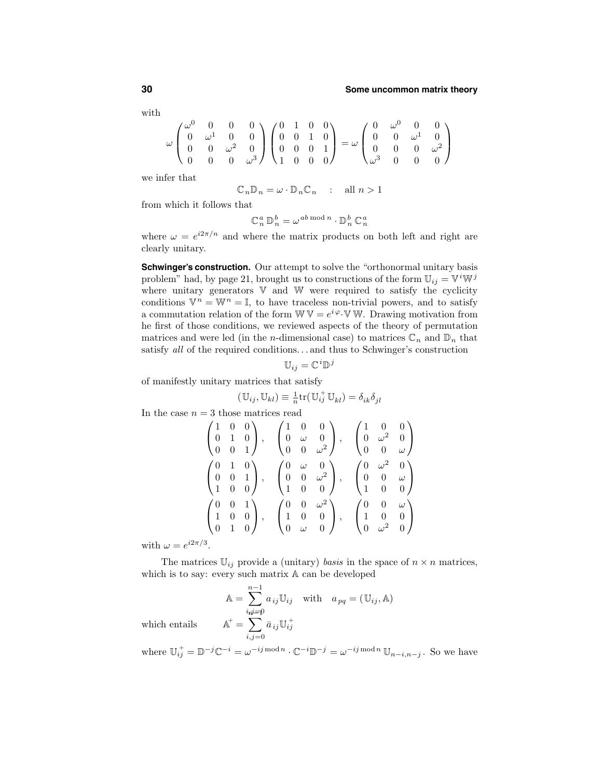with

$$
\omega\begin{pmatrix}\omega^0 & 0 & 0 & 0 \\ 0 & \omega^1 & 0 & 0 \\ 0 & 0 & \omega^2 & 0 \\ 0 & 0 & 0 & \omega^3\end{pmatrix}\begin{pmatrix}\n0 & 1 & 0 & 0 \\ 0 & 0 & 1 & 0 \\ 0 & 0 & 0 & 1 \\ 1 & 0 & 0 & 0\end{pmatrix} = \omega\begin{pmatrix}\n0 & \omega^0 & 0 & 0 \\ 0 & 0 & \omega^1 & 0 \\ 0 & 0 & 0 & \omega^2 \\ \omega^3 & 0 & 0 & 0\end{pmatrix}
$$

we infer that

$$
\mathbb{C}_n \mathbb{D}_n = \omega \cdot \mathbb{D}_n \mathbb{C}_n \quad : \quad \text{all } n > 1
$$

from which it follows that

$$
\mathbb{C}_n^a \, \mathbb{D}_n^b = \omega^{ab \bmod n} \cdot \mathbb{D}_n^b \, \mathbb{C}_n^a
$$

where  $\omega = e^{i2\pi/n}$  and where the matrix products on both left and right are clearly unitary.

**Schwinger's construction.** Our attempt to solve the "orthonormal unitary basis problem" had, by page 21, brought us to constructions of the form  $\mathbb{U}_{ij} = \mathbb{V}^i \mathbb{W}^j$ where unitary generators  $V$  and  $W$  were required to satisfy the cyclicity conditions  $\mathbb{V}^n = \mathbb{W}^n = \mathbb{I}$ , to have traceless non-trivial powers, and to satisfy a commutation relation of the form  $W V = e^{i \varphi} \nabla W$ . Drawing motivation from he first of those conditions, we reviewed aspects of the theory of permutation matrices and were led (in the *n*-dimensional case) to matrices  $\mathbb{C}_n$  and  $\mathbb{D}_n$  that satisfy all of the required conditions. . . and thus to Schwinger's construction

$$
\mathbb{U}_{ij}=\mathbb{C}^i\mathbb{D}^j
$$

of manifestly unitary matrices that satisfy

$$
(\mathbb{U}_{ij}, \mathbb{U}_{kl}) \equiv \frac{1}{n} \text{tr}(\mathbb{U}_{ij}^+ \mathbb{U}_{kl}) = \delta_{ik} \delta_{jl}
$$

In the case  $n = 3$  those matrices read

$$
\begin{pmatrix}\n1 & 0 & 0 \\
0 & 1 & 0 \\
0 & 0 & 1\n\end{pmatrix}, \quad\n\begin{pmatrix}\n1 & 0 & 0 \\
0 & \omega & 0 \\
0 & 0 & \omega^2\n\end{pmatrix}, \quad\n\begin{pmatrix}\n1 & 0 & 0 \\
0 & \omega^2 & 0 \\
0 & 0 & \omega\n\end{pmatrix}
$$
\n
$$
\begin{pmatrix}\n0 & 1 & 0 \\
0 & 0 & 1 \\
1 & 0 & 0\n\end{pmatrix}, \quad\n\begin{pmatrix}\n0 & \omega & 0 \\
0 & 0 & \omega^2 \\
1 & 0 & 0\n\end{pmatrix}, \quad\n\begin{pmatrix}\n0 & \omega^2 & 0 \\
0 & 0 & \omega \\
1 & 0 & 0\n\end{pmatrix}
$$
\n
$$
\begin{pmatrix}\n0 & 0 & 1 \\
1 & 0 & 0 \\
0 & 1 & 0\n\end{pmatrix}, \quad\n\begin{pmatrix}\n0 & 0 & \omega^2 \\
1 & 0 & 0 \\
0 & \omega & 0\n\end{pmatrix}, \quad\n\begin{pmatrix}\n0 & 0 & \omega \\
1 & 0 & 0 \\
0 & \omega^2 & 0\n\end{pmatrix}
$$

with  $\omega = e^{i2\pi/3}$ .

The matrices  $\mathbb{U}_{ij}$  provide a (unitary) basis in the space of  $n \times n$  matrices, which is to say: every such matrix A can be developed

$$
\mathbb{A} = \sum_{i,j=0}^{n-1} a_{ij} \mathbb{U}_{ij} \quad \text{with} \quad a_{pq} = (\mathbb{U}_{ij}, \mathbb{A})
$$

$$
\mathbb{A}^+ = \sum_{i,j=0}^{n-1} \bar{a}_{ij} \mathbb{U}_{ij}^+
$$

which entails

where  $\mathbb{U}_{ij}^+ = \mathbb{D}^{-j} \mathbb{C}^{-i} = \omega^{-ij \mod n} \cdot \mathbb{C}^{-i} \mathbb{D}^{-j} = \omega^{-ij \mod n} \mathbb{U}_{n-i,n-j}$ . So we have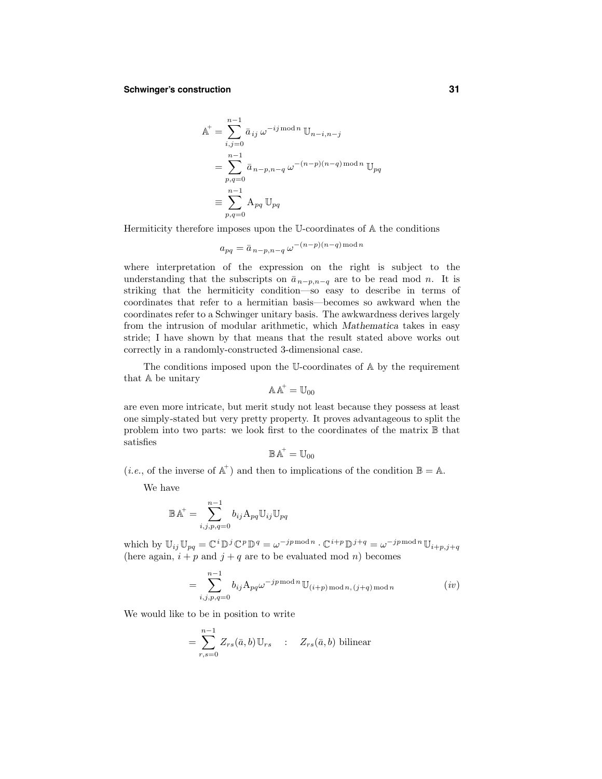# **Schwinger's construction 31**

$$
A^{+} = \sum_{i,j=0}^{n-1} \bar{a}_{ij} \omega^{-ij \mod n} \mathbb{U}_{n-i,n-j}
$$
  
= 
$$
\sum_{p,q=0}^{n-1} \bar{a}_{n-p,n-q} \omega^{-(n-p)(n-q) \mod n} \mathbb{U}_{pq}
$$
  

$$
\equiv \sum_{p,q=0}^{n-1} A_{pq} \mathbb{U}_{pq}
$$

Hermiticity therefore imposes upon the U-coordinates of A the conditions

$$
a_{pq} = \bar{a}_{n-p,n-q} \,\omega^{-(n-p)(n-q)\,\text{mod}\,n}
$$

where interpretation of the expression on the right is subject to the understanding that the subscripts on  $\bar{a}_{n-p,n-q}$  are to be read mod n. It is striking that the hermiticity condition—so easy to describe in terms of coordinates that refer to a hermitian basis—becomes so awkward when the coordinates refer to a Schwinger unitary basis. The awkwardness derives largely from the intrusion of modular arithmetic, which Mathematica takes in easy stride; I have shown by that means that the result stated above works out correctly in a randomly-constructed 3-dimensional case.

The conditions imposed upon the U-coordinates of A by the requirement that A be unitary

$$
\mathbb{A}\mathbb{A}^+=\mathbb{U}_{00}
$$

are even more intricate, but merit study not least because they possess at least one simply-stated but very pretty property. It proves advantageous to split the problem into two parts: we look first to the coordinates of the matrix  $\mathbb B$  that satisfies

$$
\mathbb{B}\mathbb{A}^+=\mathbb{U}_{00}
$$

(*i.e.*, of the inverse of  $\mathbb{A}^+$ ) and then to implications of the condition  $\mathbb{B} = \mathbb{A}$ .

We have

$$
\mathbb{B}\mathbb{A}^+=\sum_{i,j,p,q=0}^{n-1}b_{ij}\mathbf{A}_{pq}\mathbb{U}_{ij}\mathbb{U}_{pq}
$$

which by  $\mathbb{U}_{ij} \mathbb{U}_{pq} = \mathbb{C}^i \mathbb{D}^j \mathbb{C}^p \mathbb{D}^q = \omega^{-jp \, \text{mod} \, n} \cdot \mathbb{C}^{i+p} \mathbb{D}^{j+q} = \omega^{-jp \, \text{mod} \, n} \mathbb{U}_{i+p, j+q}$ (here again,  $i + p$  and  $j + q$  are to be evaluated mod n) becomes

$$
= \sum_{i,j,p,q=0}^{n-1} b_{ij} A_{pq} \omega^{-jp \mod n} \mathbb{U}_{(i+p) \mod n, (j+q) \mod n}
$$
 (iv)

We would like to be in position to write

$$
= \sum_{r,s=0}^{n-1} Z_{rs}(\bar{a},b) \mathbb{U}_{rs} \quad : \quad Z_{rs}(\bar{a},b) \text{ bilinear}
$$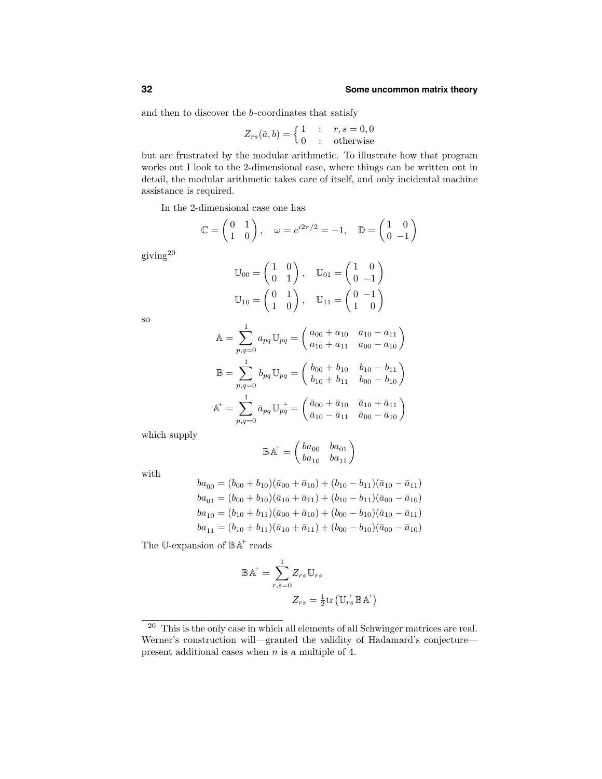and then to discover the b-coordinates that satisfy

$$
Z_{rs}(\bar{a},b) = \begin{cases} 1 & \text{: } r,s = 0,0\\ 0 & \text{: } \text{ otherwise} \end{cases}
$$

but are frustrated by the modular arithmetic. To illustrate how that program works out I look to the 2-dimensional case, where things can be written out in detail, the modular arithmetic takes care of itself, and only incidental machine assistance is required.

In the 2-dimensional case one has

$$
\mathbb{C} = \begin{pmatrix} 0 & 1 \\ 1 & 0 \end{pmatrix}, \quad \omega = e^{i2\pi/2} = -1, \quad \mathbb{D} = \begin{pmatrix} 1 & 0 \\ 0 & -1 \end{pmatrix}
$$

giving<sup>20</sup>

$$
\mathbb{U}_{00} = \begin{pmatrix} 1 & 0 \\ 0 & 1 \end{pmatrix}, \quad \mathbb{U}_{01} = \begin{pmatrix} 1 & 0 \\ 0 & -1 \end{pmatrix}
$$

$$
\mathbb{U}_{10} = \begin{pmatrix} 0 & 1 \\ 1 & 0 \end{pmatrix}, \quad \mathbb{U}_{11} = \begin{pmatrix} 0 & -1 \\ 1 & 0 \end{pmatrix}
$$

so

$$
\mathbb{A} = \sum_{p,q=0}^{1} a_{pq} \mathbb{U}_{pq} = \begin{pmatrix} a_{00} + a_{10} & a_{10} - a_{11} \\ a_{10} + a_{11} & a_{00} - a_{10} \end{pmatrix}
$$

$$
\mathbb{B} = \sum_{p,q=0}^{1} b_{pq} \mathbb{U}_{pq} = \begin{pmatrix} b_{00} + b_{10} & b_{10} - b_{11} \\ b_{10} + b_{11} & b_{00} - b_{10} \end{pmatrix}
$$

$$
\mathbb{A}^{+} = \sum_{p,q=0}^{1} \bar{a}_{pq} \mathbb{U}_{pq}^{+} = \begin{pmatrix} \bar{a}_{00} + \bar{a}_{10} & \bar{a}_{10} + \bar{a}_{11} \\ \bar{a}_{10} - \bar{a}_{11} & \bar{a}_{00} - \bar{a}_{10} \end{pmatrix}
$$

which supply

$$
\mathbb{B}\mathbb{A}^{\!+} = \begin{pmatrix} ba_{00} & ba_{01} \\ ba_{10} & ba_{11} \end{pmatrix}
$$

with

$$
ba_{00} = (b_{00} + b_{10})(\bar{a}_{00} + \bar{a}_{10}) + (b_{10} - b_{11})(\bar{a}_{10} - \bar{a}_{11})
$$
  
\n
$$
ba_{01} = (b_{00} + b_{10})(\bar{a}_{10} + \bar{a}_{11}) + (b_{10} - b_{11})(\bar{a}_{00} - \bar{a}_{10})
$$
  
\n
$$
ba_{10} = (b_{10} + b_{11})(\bar{a}_{00} + \bar{a}_{10}) + (b_{00} - b_{10})(\bar{a}_{10} - \bar{a}_{11})
$$
  
\n
$$
ba_{11} = (b_{10} + b_{11})(\bar{a}_{10} + \bar{a}_{11}) + (b_{00} - b_{10})(\bar{a}_{00} - \bar{a}_{10})
$$

The U-expansion of  $\mathbb{B} \mathbb{A}^+$  reads

$$
\mathbb{B}\mathbb{A}^{\dagger} = \sum_{r,s=0}^{1} Z_{rs} \mathbb{U}_{rs}
$$

$$
Z_{rs} = \frac{1}{2} \text{tr}(\mathbb{U}_{rs}^{+} \mathbb{B}\mathbb{A}^{+})
$$

<sup>20</sup> This is the only case in which all elements of all Schwinger matrices are real. Werner's construction will—granted the validity of Hadamard's conjecture present additional cases when n is a multiple of 4.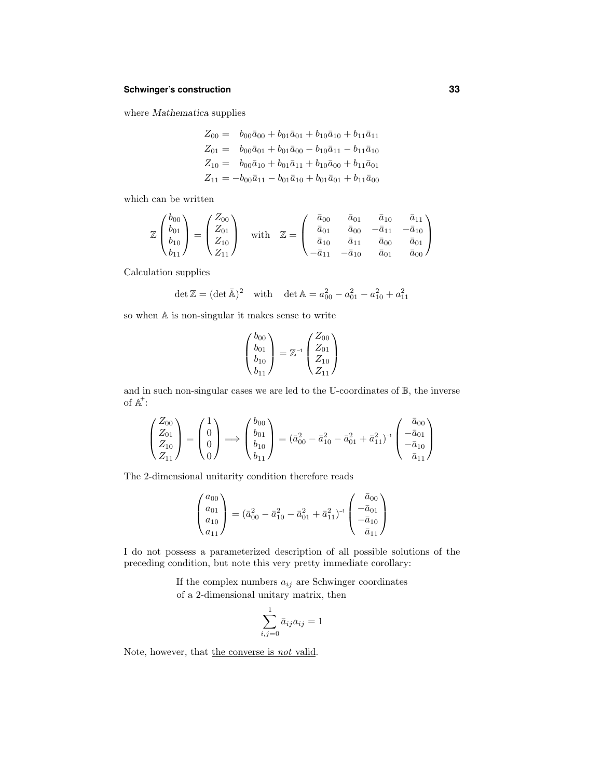# **Schwinger's construction 33**

where Mathematica supplies

$$
Z_{00} = b_{00}\bar{a}_{00} + b_{01}\bar{a}_{01} + b_{10}\bar{a}_{10} + b_{11}\bar{a}_{11}
$$
  
\n
$$
Z_{01} = b_{00}\bar{a}_{01} + b_{01}\bar{a}_{00} - b_{10}\bar{a}_{11} - b_{11}\bar{a}_{10}
$$
  
\n
$$
Z_{10} = b_{00}\bar{a}_{10} + b_{01}\bar{a}_{11} + b_{10}\bar{a}_{00} + b_{11}\bar{a}_{01}
$$
  
\n
$$
Z_{11} = -b_{00}\bar{a}_{11} - b_{01}\bar{a}_{10} + b_{01}\bar{a}_{01} + b_{11}\bar{a}_{00}
$$

which can be written

$$
\mathbb{Z}\begin{pmatrix}b_{00}\\b_{01}\\b_{10}\\b_{11}\end{pmatrix}=\begin{pmatrix}Z_{00}\\Z_{01}\\Z_{10}\\Z_{11}\end{pmatrix}\quad\text{with}\quad\mathbb{Z}=\begin{pmatrix}\bar{a}_{00}&\bar{a}_{01}&\bar{a}_{10}&\bar{a}_{11}\\ \bar{a}_{01}&\bar{a}_{00}&-\bar{a}_{11}&-\bar{a}_{10}\\ \bar{a}_{10}&\bar{a}_{11}&\bar{a}_{00}&\bar{a}_{01}\\ -\bar{a}_{11}&-\bar{a}_{10}&\bar{a}_{01}&\bar{a}_{00}\end{pmatrix}
$$

Calculation supplies

$$
\det \mathbb{Z} = (\det \bar{\mathbb{A}})^2 \quad \text{with} \quad \det \mathbb{A} = a_{00}^2 - a_{01}^2 - a_{10}^2 + a_{11}^2
$$

so when A is non-singular it makes sense to write

$$
\begin{pmatrix} b_{00} \\ b_{01} \\ b_{10} \\ b_{11} \end{pmatrix} = \mathbb{Z}^{-1} \begin{pmatrix} Z_{00} \\ Z_{01} \\ Z_{10} \\ Z_{11} \end{pmatrix}
$$

and in such non-singular cases we are led to the U-coordinates of  $\mathbb{B}$ , the inverse of  $\mathbb{A}^{\dagger}$ :

$$
\begin{pmatrix} Z_{00} \ Z_{01} \ Z_{10} \ Z_{11} \end{pmatrix} = \begin{pmatrix} 1 \ 0 \ 0 \end{pmatrix} \Longrightarrow \begin{pmatrix} b_{00} \ b_{01} \ b_{10} \ b_{10} \end{pmatrix} = (\bar{a}_{00}^2 - \bar{a}_{10}^2 - \bar{a}_{01}^2 + \bar{a}_{11}^2)^{-1} \begin{pmatrix} \bar{a}_{00} \ -\bar{a}_{01} \ -\bar{a}_{10} \ \bar{a}_{11} \end{pmatrix}
$$

The 2-dimensional unitarity condition therefore reads

$$
\begin{pmatrix} a_{00} \\ a_{01} \\ a_{10} \\ a_{11} \end{pmatrix} = (\bar{a}_{00}^2 - \bar{a}_{10}^2 - \bar{a}_{01}^2 + \bar{a}_{11}^2)^{-1} \begin{pmatrix} \bar{a}_{00} \\ -\bar{a}_{01} \\ -\bar{a}_{10} \\ \bar{a}_{11} \end{pmatrix}
$$

I do not possess a parameterized description of all possible solutions of the preceding condition, but note this very pretty immediate corollary:

> If the complex numbers  $a_{ij}$  are Schwinger coordinates of a 2-dimensional unitary matrix, then

$$
\sum_{i,j=0}^{1} \bar{a}_{ij} a_{ij} = 1
$$

Note, however, that the converse is not valid.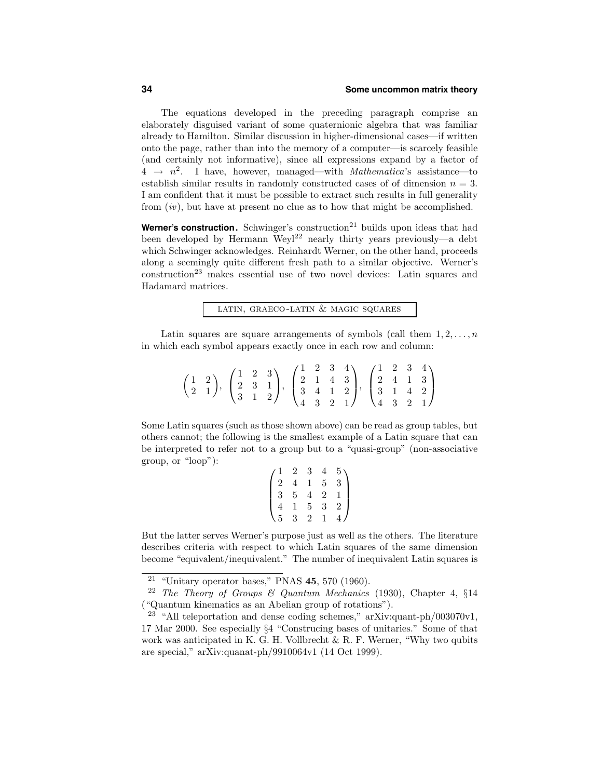The equations developed in the preceding paragraph comprise an elaborately disguised variant of some quaternionic algebra that was familiar already to Hamilton. Similar discussion in higher-dimensional cases—if written onto the page, rather than into the memory of a computer—is scarcely feasible (and certainly not informative), since all expressions expand by a factor of  $4 \rightarrow n^2$ . I have, however, managed—with *Mathematica*'s assistance—to establish similar results in randomly constructed cases of of dimension  $n = 3$ . I am confident that it must be possible to extract such results in full generality from  $(iv)$ , but have at present no clue as to how that might be accomplished.

**Werner's construction.** Schwinger's construction<sup>21</sup> builds upon ideas that had been developed by Hermann Weyl<sup>22</sup> nearly thirty years previously—a debt which Schwinger acknowledges. Reinhardt Werner, on the other hand, proceeds along a seemingly quite different fresh path to a similar objective. Werner's construction<sup>23</sup> makes essential use of two novel devices: Latin squares and Hadamard matrices.

latin, graeco-latin & magic squares

Latin squares are square arrangements of symbols (call them  $1, 2, \ldots, n$ ) in which each symbol appears exactly once in each row and column:

|  |  | $\begin{pmatrix} 1 & 2 \\ 2 & 1 \end{pmatrix},\ \begin{pmatrix} 1 & 2 & 3 \\ 2 & 3 & 1 \\ 3 & 1 & 2 \end{pmatrix},\ \begin{pmatrix} 1 & 2 & 3 & 4 \\ 2 & 1 & 4 & 3 \\ 3 & 4 & 1 & 2 \\ 4 & 3 & 2 & 1 \end{pmatrix},\ \begin{pmatrix} 1 & 2 & 3 & 4 \\ 2 & 4 & 1 & 3 \\ 3 & 1 & 4 & 2 \\ 4 & 3 & 2 & 1 \end{pmatrix}$ |  |  |  |  |  |
|--|--|----------------------------------------------------------------------------------------------------------------------------------------------------------------------------------------------------------------------------------------------------------------------------------------------------------------------|--|--|--|--|--|
|  |  |                                                                                                                                                                                                                                                                                                                      |  |  |  |  |  |

Some Latin squares (such as those shown above) can be read as group tables, but others cannot; the following is the smallest example of a Latin square that can be interpreted to refer not to a group but to a "quasi-group" (non-associative group, or "loop"):

|                                             | $\overline{2}$ | 3 <sup>1</sup> | 4              |                |
|---------------------------------------------|----------------|----------------|----------------|----------------|
|                                             | $\overline{4}$ | $\frac{1}{1}$  | $\overline{5}$ | $\frac{5}{3}$  |
| $\Bigg(\begin{matrix} 1\\2\\3 \end{matrix}$ | $\overline{5}$ |                | $\overline{2}$ | $\overline{1}$ |
|                                             | $\frac{1}{3}$  | $\frac{1}{5}$  | $\overline{3}$ | $\overline{2}$ |
| $\frac{4}{\sqrt{5}}$                        |                | $\overline{2}$ | 1              |                |

But the latter serves Werner's purpose just as well as the others. The literature describes criteria with respect to which Latin squares of the same dimension become "equivalent/inequivalent." The number of inequivalent Latin squares is

<sup>&</sup>lt;sup>21</sup> "Unitary operator bases," PNAS  $45, 570$  (1960).

<sup>&</sup>lt;sup>22</sup> The Theory of Groups & Quantum Mechanics (1930), Chapter 4,  $§14$ ("Quantum kinematics as an Abelian group of rotations").

<sup>23</sup> "All teleportation and dense coding schemes," arXiv:quant-ph/003070v1, 17 Mar 2000. See especially §4 "Construcing bases of unitaries." Some of that work was anticipated in K. G. H. Vollbrecht  $\&$  R. F. Werner, "Why two qubits are special," arXiv:quanat-ph/9910064v1 (14 Oct 1999).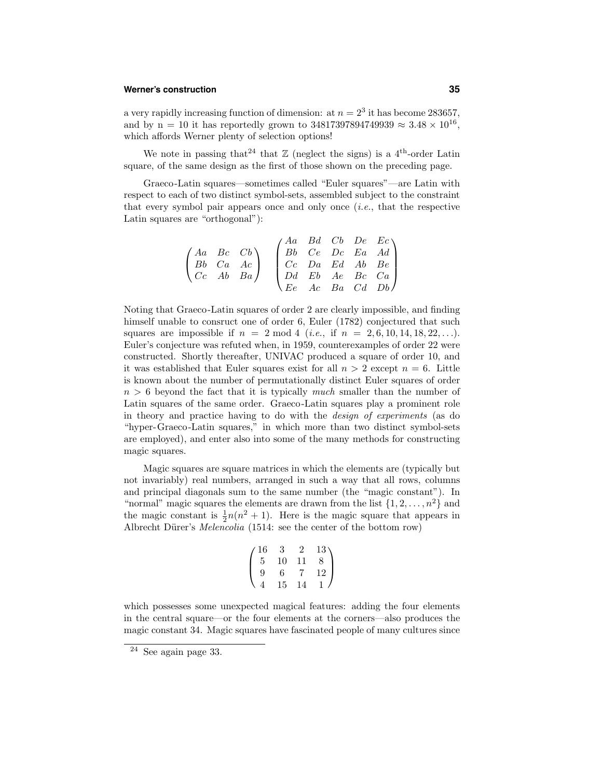# **Werner's construction 35**

a very rapidly increasing function of dimension: at  $n = 2<sup>3</sup>$  it has become 283657, and by n = 10 it has reportedly grown to 34817397894749939  $\approx 3.48 \times 10^{16}$ , which affords Werner plenty of selection options!

We note in passing that<sup>24</sup> that  $\mathbb{Z}$  (neglect the signs) is a 4<sup>th</sup>-order Latin square, of the same design as the first of those shown on the preceding page.

Graeco-Latin squares—sometimes called "Euler squares"—are Latin with respect to each of two distinct symbol-sets, assembled subject to the constraint that every symbol pair appears once and only once  $(i.e.,$  that the respective Latin squares are "orthogonal"):

$$
\begin{pmatrix} Aa & Bc & Cb \\ Bb & Ca & Ac \\ Cc & Ab & Ba \end{pmatrix} \quad \begin{pmatrix} Aa & Bd & Cb & De & Ec \\ Bb & Ce & Dc & Ea & Ad \\ Cc & Da & Ed & Ab & Be \\ Dd & Eb & Ae & Bc & Ca \\ Ee & Ac & Ba & Cd & Db \end{pmatrix}
$$

Noting that Graeco-Latin squares of order 2 are clearly impossible, and finding himself unable to consruct one of order 6, Euler (1782) conjectured that such squares are impossible if  $n = 2 \text{ mod } 4$  (*i.e.*, if  $n = 2, 6, 10, 14, 18, 22, \ldots$ ). Euler's conjecture was refuted when, in 1959, counterexamples of order 22 were constructed. Shortly thereafter, UNIVAC produced a square of order 10, and it was established that Euler squares exist for all  $n > 2$  except  $n = 6$ . Little is known about the number of permutationally distinct Euler squares of order  $n > 6$  beyond the fact that it is typically much smaller than the number of Latin squares of the same order. Graeco-Latin squares play a prominent role in theory and practice having to do with the design of experiments (as do "hyper-Graeco-Latin squares," in which more than two distinct symbol-sets are employed), and enter also into some of the many methods for constructing magic squares.

Magic squares are square matrices in which the elements are (typically but not invariably) real numbers, arranged in such a way that all rows, columns and principal diagonals sum to the same number (the "magic constant"). In "normal" magic squares the elements are drawn from the list  $\{1, 2, \ldots, n^2\}$  and the magic constant is  $\frac{1}{2}n(n^2 + 1)$ . Here is the magic square that appears in Albrecht Dürer's *Melencolia* (1514: see the center of the bottom row)

$$
\begin{pmatrix} 16 & 3 & 2 & 13 \\ 5 & 10 & 11 & 8 \\ 9 & 6 & 7 & 12 \\ 4 & 15 & 14 & 1 \end{pmatrix}
$$

which possesses some unexpected magical features: adding the four elements in the central square—or the four elements at the corners—also produces the magic constant 34. Magic squares have fascinated people of many cultures since

<sup>24</sup> See again page 33.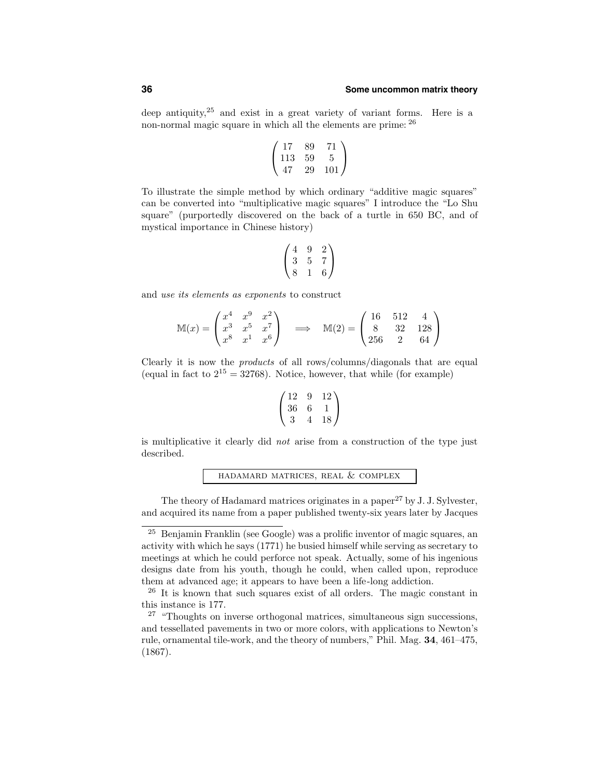deep antiquity,<sup>25</sup> and exist in a great variety of variant forms. Here is a non-normal magic square in which all the elements are prime: <sup>26</sup>

$$
\begin{pmatrix} 17 & 89 & 71 \\ 113 & 59 & 5 \\ 47 & 29 & 101 \end{pmatrix}
$$

To illustrate the simple method by which ordinary "additive magic squares" can be converted into "multiplicative magic squares" I introduce the "Lo Shu square" (purportedly discovered on the back of a turtle in 650 BC, and of mystical importance in Chinese history)

$$
\begin{pmatrix}\n4 & 9 & 2 \\
3 & 5 & 7 \\
8 & 1 & 6\n\end{pmatrix}
$$

and use its elements as exponents to construct

$$
\mathbb{M}(x) = \begin{pmatrix} x^4 & x^9 & x^2 \\ x^3 & x^5 & x^7 \\ x^8 & x^1 & x^6 \end{pmatrix} \implies \mathbb{M}(2) = \begin{pmatrix} 16 & 512 & 4 \\ 8 & 32 & 128 \\ 256 & 2 & 64 \end{pmatrix}
$$

Clearly it is now the products of all rows/columns/diagonals that are equal (equal in fact to  $2^{15} = 32768$ ). Notice, however, that while (for example)

$$
\begin{pmatrix} 12 & 9 & 12 \\ 36 & 6 & 1 \\ 3 & 4 & 18 \end{pmatrix}
$$

is multiplicative it clearly did not arise from a construction of the type just described.

hadamard matrices, real & complex

The theory of Hadamard matrices originates in a paper<sup>27</sup> by J. J. Sylvester, and acquired its name from a paper published twenty-six years later by Jacques

<sup>25</sup> Benjamin Franklin (see Google) was a prolific inventor of magic squares, an activity with which he says (1771) he busied himself while serving as secretary to meetings at which he could perforce not speak. Actually, some of his ingenious designs date from his youth, though he could, when called upon, reproduce them at advanced age; it appears to have been a life-long addiction.

<sup>&</sup>lt;sup>26</sup> It is known that such squares exist of all orders. The magic constant in this instance is 177.

 $27$  "Thoughts on inverse orthogonal matrices, simultaneous sign successions, and tessellated pavements in two or more colors, with applications to Newton's rule, ornamental tile-work, and the theory of numbers," Phil. Mag. 34, 461–475, (1867).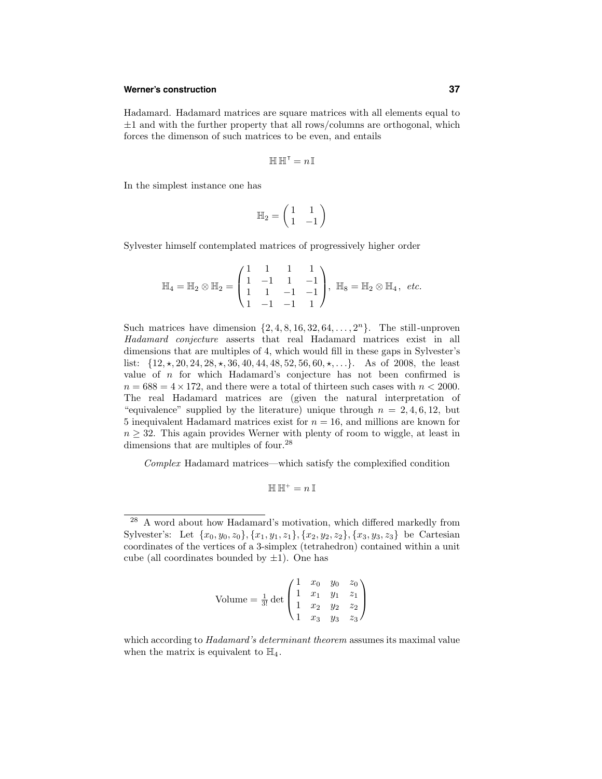# **Werner's construction 37**

Hadamard. Hadamard matrices are square matrices with all elements equal to  $\pm 1$  and with the further property that all rows/columns are orthogonal, which forces the dimenson of such matrices to be even, and entails

$$
\mathbb{H} \, \mathbb{H}^\intercal = n \, \mathbb{I}
$$

In the simplest instance one has

$$
\mathbb{H}_2=\begin{pmatrix}1&1\\1&-1\end{pmatrix}
$$

Sylvester himself contemplated matrices of progressively higher order

$$
\mathbb{H}_4 = \mathbb{H}_2 \otimes \mathbb{H}_2 = \begin{pmatrix} 1 & 1 & 1 & 1 \\ 1 & -1 & 1 & -1 \\ 1 & 1 & -1 & -1 \\ 1 & -1 & -1 & 1 \end{pmatrix}, \ \mathbb{H}_8 = \mathbb{H}_2 \otimes \mathbb{H}_4, \ etc.
$$

Such matrices have dimension  $\{2, 4, 8, 16, 32, 64, \ldots, 2^n\}$ . The still-unproven Hadamard conjecture asserts that real Hadamard matrices exist in all dimensions that are multiples of 4, which would fill in these gaps in Sylvester's list:  $\{12, \star, 20, 24, 28, \star, 36, 40, 44, 48, 52, 56, 60, \star, \ldots\}$ . As of 2008, the least value of  $n$  for which Hadamard's conjecture has not been confirmed is  $n = 688 = 4 \times 172$ , and there were a total of thirteen such cases with  $n < 2000$ . The real Hadamard matrices are (given the natural interpretation of "equivalence" supplied by the literature) unique through  $n = 2, 4, 6, 12$ , but 5 inequivalent Hadamard matrices exist for  $n = 16$ , and millions are known for  $n \geq 32$ . This again provides Werner with plenty of room to wiggle, at least in dimensions that are multiples of four.<sup>28</sup>

Complex Hadamard matrices—which satisfy the complexified condition

$$
\mathbb{H}\,\mathbb{H}^+=n\,\mathbb{I}
$$

Volume = 
$$
\frac{1}{3!}
$$
 det  $\begin{pmatrix} 1 & x_0 & y_0 & z_0 \\ 1 & x_1 & y_1 & z_1 \\ 1 & x_2 & y_2 & z_2 \\ 1 & x_3 & y_3 & z_3 \end{pmatrix}$ 

<sup>28</sup> A word about how Hadamard's motivation, which differed markedly from Sylvester's: Let  $\{x_0, y_0, z_0\}, \{x_1, y_1, z_1\}, \{x_2, y_2, z_2\}, \{x_3, y_3, z_3\}$  be Cartesian coordinates of the vertices of a 3-simplex (tetrahedron) contained within a unit cube (all coordinates bounded by  $\pm 1$ ). One has

which according to *Hadamard's determinant theorem* assumes its maximal value when the matrix is equivalent to  $\mathbb{H}_4$ .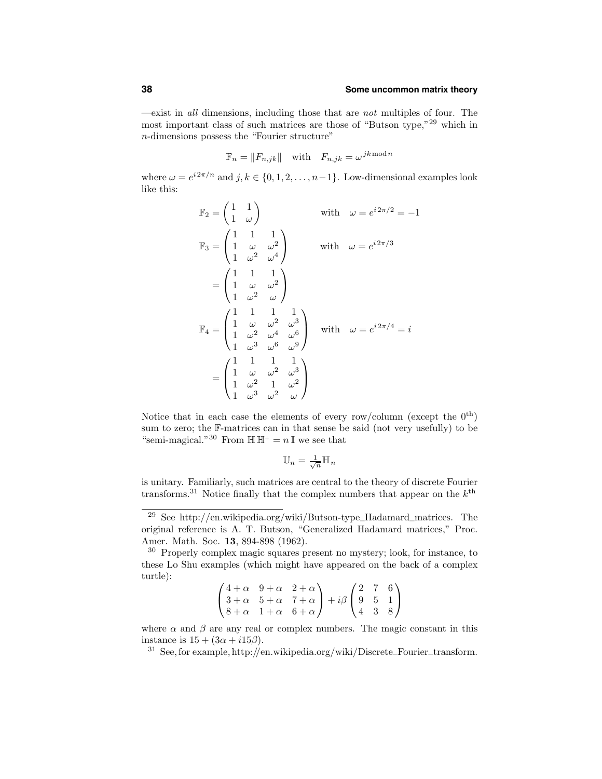—exist in all dimensions, including those that are not multiples of four. The most important class of such matrices are those of "Butson type,"<sup>29</sup> which in n-dimensions possess the "Fourier structure"

$$
\mathbb{F}_n = \|F_{n,jk}\| \quad \text{with} \quad F_{n,jk} = \omega^{jk \bmod n}
$$

where  $\omega = e^{i 2\pi/n}$  and  $j, k \in \{0, 1, 2, \ldots, n-1\}$ . Low-dimensional examples look like this:

$$
\mathbb{F}_2 = \begin{pmatrix} 1 & 1 \\ 1 & \omega \end{pmatrix} \qquad \text{with} \quad \omega = e^{i2\pi/2} = -1
$$
  

$$
\mathbb{F}_3 = \begin{pmatrix} 1 & 1 & 1 \\ 1 & \omega & \omega^2 \\ 1 & \omega^2 & \omega^4 \end{pmatrix} \qquad \text{with} \quad \omega = e^{i2\pi/3}
$$
  

$$
= \begin{pmatrix} 1 & 1 & 1 \\ 1 & \omega & \omega^2 \\ 1 & \omega^2 & \omega \end{pmatrix}
$$
  

$$
\mathbb{F}_4 = \begin{pmatrix} 1 & 1 & 1 & 1 \\ 1 & \omega & \omega^2 & \omega^3 \\ 1 & \omega^3 & \omega^6 & \omega^9 \end{pmatrix} \quad \text{with} \quad \omega = e^{i2\pi/4} = i
$$
  

$$
= \begin{pmatrix} 1 & 1 & 1 & 1 \\ 1 & \omega & \omega^2 & \omega^3 \\ 1 & \omega^2 & 1 & \omega^2 \\ 1 & \omega^3 & \omega^2 & \omega \end{pmatrix}
$$

Notice that in each case the elements of every row/column (except the  $0^{\text{th}}$ ) sum to zero; the F-matrices can in that sense be said (not very usefully) to be "semi-magical."<sup>30</sup> From  $\mathbb{H} \mathbb{H}^+ = n \mathbb{I}$  we see that

$$
\mathbb{U}_n = \tfrac{1}{\sqrt{n}} \mathbb{H}_n
$$

is unitary. Familiarly, such matrices are central to the theory of discrete Fourier transforms.<sup>31</sup> Notice finally that the complex numbers that appear on the  $k^{\text{th}}$ 

<sup>30</sup> Properly complex magic squares present no mystery; look, for instance, to these Lo Shu examples (which might have appeared on the back of a complex turtle):

|  | $\left(4+\alpha \quad 9+\alpha \quad 2+\alpha\right)$                                                                                                                                                  |  |  |
|--|--------------------------------------------------------------------------------------------------------------------------------------------------------------------------------------------------------|--|--|
|  | $\begin{pmatrix} 4+\alpha & 9+\alpha & 2+\alpha \\ 3+\alpha & 5+\alpha & 7+\alpha \\ 2 & 3+\alpha & 7+\alpha \end{pmatrix} + i\beta \begin{pmatrix} 2 & 7 & 6 \\ 9 & 5 & 1 \\ 2 & 2 & 3 \end{pmatrix}$ |  |  |
|  | $\begin{pmatrix} 8+\alpha & 1+\alpha & 6+\alpha \end{pmatrix}$ $\begin{pmatrix} 4 & 3 & 8 \end{pmatrix}$                                                                                               |  |  |

where  $\alpha$  and  $\beta$  are any real or complex numbers. The magic constant in this instance is  $15 + (3\alpha + i15\beta)$ .

<sup>&</sup>lt;sup>29</sup> See http://en.wikipedia.org/wiki/Butson-type\_Hadamard\_matrices. The original reference is A. T. Butson, "Generalized Hadamard matrices," Proc. Amer. Math. Soc. 13, 894-898 (1962).

 $31$  See, for example, http://en.wikipedia.org/wiki/Discrete–Fourier–transform.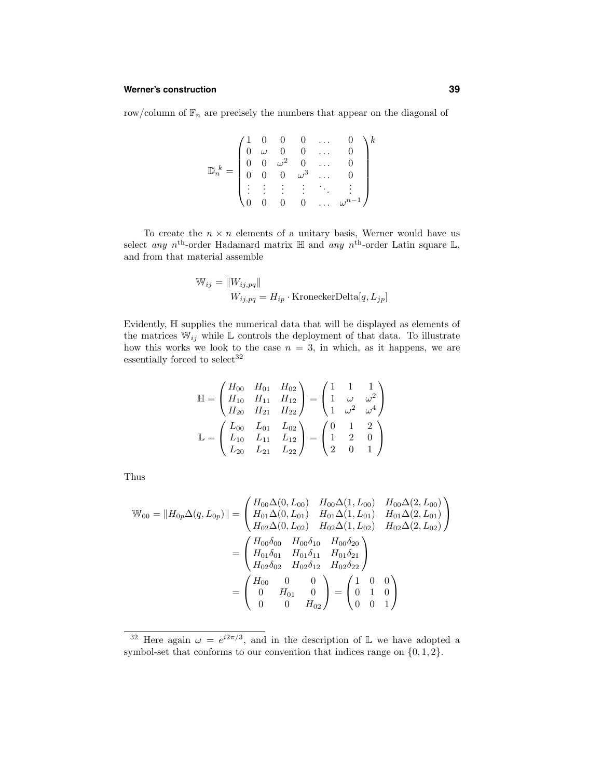## **Werner's construction 39**

row/column of  $\mathbb{F}_n$  are precisely the numbers that appear on the diagonal of

$$
\mathbb{D}_{n}^{k} = \begin{pmatrix} 1 & 0 & 0 & 0 & \dots & 0 \\ 0 & \omega & 0 & 0 & \dots & 0 \\ 0 & 0 & \omega^{2} & 0 & \dots & 0 \\ 0 & 0 & 0 & \omega^{3} & \dots & 0 \\ \vdots & \vdots & \vdots & \vdots & \ddots & \vdots \\ 0 & 0 & 0 & 0 & \dots & \omega^{n-1} \end{pmatrix}^{k}
$$

To create the  $n \times n$  elements of a unitary basis, Werner would have us select any n<sup>th</sup>-order Hadamard matrix  $\mathbb H$  and any n<sup>th</sup>-order Latin square  $\mathbb L$ , and from that material assemble

$$
\mathbb{W}_{ij} = \|W_{ij, pq}\|
$$
  

$$
W_{ij, pq} = H_{ip} \cdot \text{KroneckerDelta}[q, L_{jp}]
$$

Evidently, H supplies the numerical data that will be displayed as elements of the matrices  $\mathbb{W}_{ij}$  while  $\mathbb L$  controls the deployment of that data. To illustrate how this works we look to the case  $n = 3$ , in which, as it happens, we are essentially forced to select  $32$ 

$$
\mathbb{H} = \begin{pmatrix} H_{00} & H_{01} & H_{02} \\ H_{10} & H_{11} & H_{12} \\ H_{20} & H_{21} & H_{22} \end{pmatrix} = \begin{pmatrix} 1 & 1 & 1 \\ 1 & \omega & \omega^2 \\ 1 & \omega^2 & \omega^4 \end{pmatrix}
$$

$$
\mathbb{L} = \begin{pmatrix} L_{00} & L_{01} & L_{02} \\ L_{10} & L_{11} & L_{12} \\ L_{20} & L_{21} & L_{22} \end{pmatrix} = \begin{pmatrix} 0 & 1 & 2 \\ 1 & 2 & 0 \\ 2 & 0 & 1 \end{pmatrix}
$$

Thus

$$
\mathbb{W}_{00} = \|H_{0p}\Delta(q, L_{0p})\| = \begin{pmatrix} H_{00}\Delta(0, L_{00}) & H_{00}\Delta(1, L_{00}) & H_{00}\Delta(2, L_{00}) \\ H_{01}\Delta(0, L_{01}) & H_{01}\Delta(1, L_{01}) & H_{01}\Delta(2, L_{01}) \\ H_{02}\Delta(0, L_{02}) & H_{02}\Delta(1, L_{02}) & H_{02}\Delta(2, L_{02}) \end{pmatrix}
$$

$$
= \begin{pmatrix} H_{00}\delta_{00} & H_{00}\delta_{10} & H_{00}\delta_{20} \\ H_{01}\delta_{01} & H_{01}\delta_{11} & H_{01}\delta_{21} \\ H_{02}\delta_{02} & H_{02}\delta_{12} & H_{02}\delta_{22} \end{pmatrix}
$$

$$
= \begin{pmatrix} H_{00} & 0 & 0 \\ 0 & H_{01} & 0 \\ 0 & 0 & H_{02} \end{pmatrix} = \begin{pmatrix} 1 & 0 & 0 \\ 0 & 1 & 0 \\ 0 & 0 & 1 \end{pmatrix}
$$

<sup>&</sup>lt;sup>32</sup> Here again  $\omega = e^{i2\pi/3}$ , and in the description of L we have adopted a symbol-set that conforms to our convention that indices range on  $\{0, 1, 2\}.$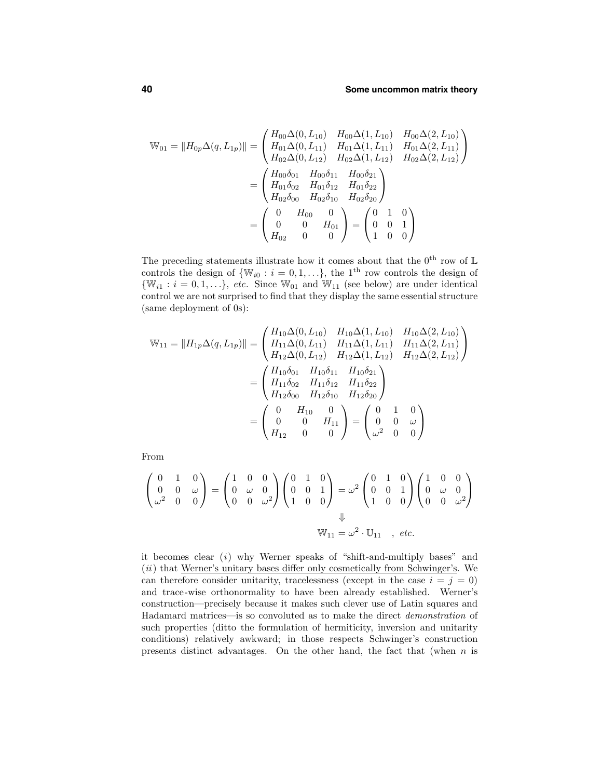$$
\mathbb{W}_{01} = \|H_{0p}\Delta(q, L_{1p})\| = \begin{pmatrix} H_{00}\Delta(0, L_{10}) & H_{00}\Delta(1, L_{10}) & H_{00}\Delta(2, L_{10}) \\ H_{01}\Delta(0, L_{11}) & H_{01}\Delta(1, L_{11}) & H_{01}\Delta(2, L_{11}) \\ H_{02}\Delta(0, L_{12}) & H_{02}\Delta(1, L_{12}) & H_{02}\Delta(2, L_{12}) \end{pmatrix}
$$

$$
= \begin{pmatrix} H_{00}\delta_{01} & H_{00}\delta_{11} & H_{00}\delta_{21} \\ H_{01}\delta_{02} & H_{01}\delta_{12} & H_{01}\delta_{22} \\ H_{02}\delta_{00} & H_{02}\delta_{10} & H_{02}\delta_{20} \end{pmatrix}
$$

$$
= \begin{pmatrix} 0 & H_{00} & 0 \\ 0 & 0 & H_{01} \\ H_{02} & 0 & 0 \end{pmatrix} = \begin{pmatrix} 0 & 1 & 0 \\ 0 & 0 & 1 \\ 1 & 0 & 0 \end{pmatrix}
$$

The preceding statements illustrate how it comes about that the  $0^{\text{th}}$  row of  $\mathbb L$ controls the design of  $\{\mathbb{W}_{i0} : i = 0, 1, \ldots\}$ , the 1<sup>th</sup> row controls the design of  $\{\mathbb{W}_{i1} : i = 0, 1, \ldots\},\ etc.\$  Since  $\mathbb{W}_{01}$  and  $\mathbb{W}_{11}$  (see below) are under identical control we are not surprised to find that they display the same essential structure (same deployment of 0s):

$$
\mathbb{W}_{11} = \|H_{1p}\Delta(q, L_{1p})\| = \begin{pmatrix} H_{10}\Delta(0, L_{10}) & H_{10}\Delta(1, L_{10}) & H_{10}\Delta(2, L_{10}) \\ H_{11}\Delta(0, L_{11}) & H_{11}\Delta(1, L_{11}) & H_{11}\Delta(2, L_{11}) \\ H_{12}\Delta(0, L_{12}) & H_{12}\Delta(1, L_{12}) & H_{12}\Delta(2, L_{12}) \end{pmatrix}
$$

$$
= \begin{pmatrix} H_{10}\delta_{01} & H_{10}\delta_{11} & H_{10}\delta_{21} \\ H_{11}\delta_{02} & H_{11}\delta_{12} & H_{11}\delta_{22} \\ H_{12}\delta_{00} & H_{12}\delta_{10} & H_{12}\delta_{20} \end{pmatrix}
$$

$$
= \begin{pmatrix} 0 & H_{10} & 0 \\ 0 & 0 & H_{11} \\ H_{12} & 0 & 0 \end{pmatrix} = \begin{pmatrix} 0 & 1 & 0 \\ 0 & 0 & \omega \\ \omega^2 & 0 & 0 \end{pmatrix}
$$

From

$$
\begin{pmatrix} 0 & 1 & 0 \ 0 & 0 & \omega \ \omega^2 & 0 & 0 \end{pmatrix} = \begin{pmatrix} 1 & 0 & 0 \ 0 & \omega & 0 \ 0 & 0 & \omega^2 \end{pmatrix} \begin{pmatrix} 0 & 1 & 0 \ 0 & 0 & 1 \ 1 & 0 & 0 \end{pmatrix} = \omega^2 \begin{pmatrix} 0 & 1 & 0 \ 0 & 0 & 1 \ 1 & 0 & 0 \end{pmatrix} \begin{pmatrix} 1 & 0 & 0 \ 0 & \omega & 0 \ 0 & 0 & \omega^2 \end{pmatrix}
$$
  
\n
$$
\mathbb{W}_{11} = \omega^2 \cdot \mathbb{U}_{11} , etc.
$$

it becomes clear (i) why Werner speaks of "shift-and-multiply bases" and  $(ii)$  that Werner's unitary bases differ only cosmetically from Schwinger's. We can therefore consider unitarity, tracelessness (except in the case  $i = j = 0$ ) and trace-wise orthonormality to have been already established. Werner's construction—precisely because it makes such clever use of Latin squares and Hadamard matrices—is so convoluted as to make the direct demonstration of such properties (ditto the formulation of hermiticity, inversion and unitarity conditions) relatively awkward; in those respects Schwinger's construction presents distinct advantages. On the other hand, the fact that (when  $n$  is